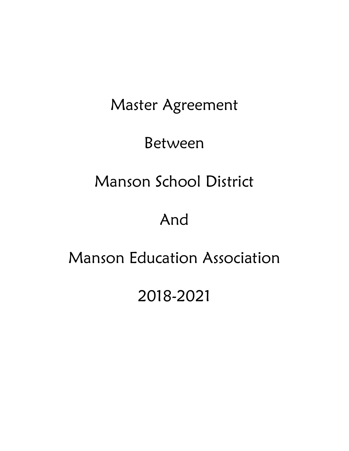# Master Agreement

# Between

# Manson School District

# And

# Manson Education Association

# 2018-2021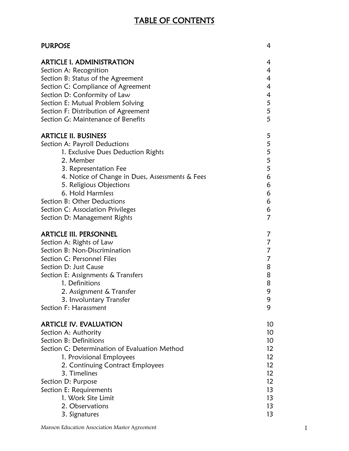# TABLE OF CONTENTS

| PURPOSE                                         | 4               |
|-------------------------------------------------|-----------------|
| <b>ARTICLE I. ADMINISTRATION</b>                | 4               |
| Section A: Recognition                          | 4               |
| Section B: Status of the Agreement              | $\overline{4}$  |
| Section C: Compliance of Agreement              | 4               |
| Section D: Conformity of Law                    | 4               |
| Section E: Mutual Problem Solving               | 5               |
| Section F: Distribution of Agreement            | 5               |
| Section G: Maintenance of Benefits              | 5               |
| ARTICLE II. BUSINESS                            | 5               |
| Section A: Payroll Deductions                   | 5               |
| 1. Exclusive Dues Deduction Rights              | 5               |
| 2. Member                                       | 5               |
| 3. Representation Fee                           | 5               |
| 4. Notice of Change in Dues, Assessments & Fees | 6               |
| 5. Religious Objections                         | 6               |
| 6. Hold Harmless                                | 6               |
| Section B: Other Deductions                     | 6               |
| Section C: Association Privileges               | 6               |
| Section D: Management Rights                    | 7               |
| ARTICLE III. PERSONNEL                          | 7               |
| Section A: Rights of Law                        | 7               |
| Section B: Non-Discrimination                   | 7               |
| Section C: Personnel Files                      | 7               |
| Section D: Just Cause                           | 8               |
| Section E: Assignments & Transfers              | 8               |
| 1. Definitions                                  | 8               |
| 2. Assignment & Transfer                        | 9               |
| 3. Involuntary Transfer                         | 9               |
| Section F: Harassment                           | 9               |
| ARTICLE IV. EVALUATION                          | 10              |
| Section A: Authority                            | 10 <sup>°</sup> |
| Section B: Definitions                          | 10              |
| Section C: Determination of Evaluation Method   | 12 <sup>2</sup> |
| 1. Provisional Employees                        | 12 <sup>2</sup> |
| 2. Continuing Contract Employees                | 12 <sup>2</sup> |
| 3. Timelines                                    | 12 <sup>2</sup> |
| Section D: Purpose                              | 12 <sup>2</sup> |
| Section E: Requirements                         | 13              |
| 1. Work Site Limit                              | 13              |
| 2. Observations                                 | 13              |
| 3. Signatures                                   | 13              |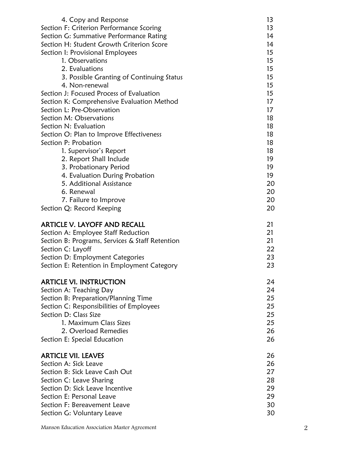| 4. Copy and Response                            | 13               |
|-------------------------------------------------|------------------|
| Section F: Criterion Performance Scoring        | 13               |
| Section G: Summative Performance Rating         | 14               |
| Section H: Student Growth Criterion Score       | 14               |
| Section I: Provisional Employees                | $15\,$           |
| 1. Observations                                 | 15               |
| 2. Evaluations                                  | $15\,$           |
| 3. Possible Granting of Continuing Status       | 15               |
| 4. Non-renewal                                  | 15 <sup>15</sup> |
| Section J: Focused Process of Evaluation        | $15\,$           |
| Section K: Comprehensive Evaluation Method      | 17               |
| Section L: Pre-Observation                      | 17               |
| Section M: Observations                         | 18               |
| Section N: Evaluation                           | 18               |
| Section O: Plan to Improve Effectiveness        | 18               |
| Section P: Probation                            | 18               |
| 1. Supervisor's Report                          | 18               |
| 2. Report Shall Include                         | 19               |
| 3. Probationary Period                          | 19               |
| 4. Evaluation During Probation                  | 19               |
| 5. Additional Assistance                        | 20               |
| 6. Renewal                                      | 20               |
| 7. Failure to Improve                           | 20               |
| Section Q: Record Keeping                       | 20               |
| ARTICLE V. LAYOFF AND RECALL                    | 21               |
| Section A: Employee Staff Reduction             | 21               |
| Section B: Programs, Services & Staff Retention | 21               |
| Section C: Layoff                               | 22               |
| Section D: Employment Categories                | 23               |
| Section E: Retention in Employment Category     | 23               |
| <b>ARTICLE VI. INSTRUCTION</b>                  | 24               |
| Section A: Teaching Day                         | 24               |
| Section B: Preparation/Planning Time            | 25               |
| Section C: Responsibilities of Employees        | 25               |
| Section D: Class Size                           | 25               |
| 1. Maximum Class Sizes                          | 25               |
| 2. Overload Remedies                            | 26               |
| Section E: Special Education                    | 26               |
| <b>ARTICLE VII. LEAVES</b>                      | 26               |
| Section A: Sick Leave                           | 26               |
| Section B: Sick Leave Cash Out                  | 27               |
| Section C: Leave Sharing                        | 28               |
| Section D: Sick Leave Incentive                 | 29               |
| Section E: Personal Leave                       | 29               |
| Section F: Bereavement Leave                    | 30               |

Manson Education Association Master Agreement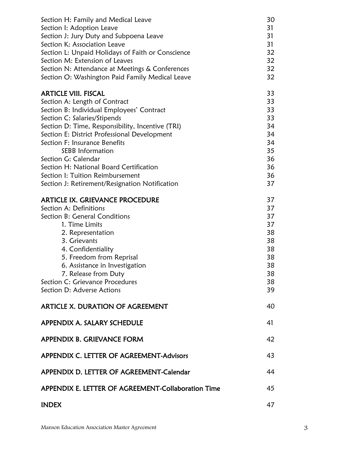| Section H: Family and Medical Leave<br>Section I: Adoption Leave<br>Section J: Jury Duty and Subpoena Leave<br>Section K: Association Leave<br>Section L: Unpaid Holidays of Faith or Conscience<br>Section M: Extension of Leaves<br>Section N: Attendance at Meetings & Conferences<br>Section O: Washington Paid Family Medical Leave                                                                                                                          | 30<br>31<br>31<br>31<br>32<br>32<br>32<br>32                         |
|-------------------------------------------------------------------------------------------------------------------------------------------------------------------------------------------------------------------------------------------------------------------------------------------------------------------------------------------------------------------------------------------------------------------------------------------------------------------|----------------------------------------------------------------------|
| <b>ARTICLE VIII. FISCAL</b><br>Section A: Length of Contract<br>Section B: Individual Employees' Contract<br>Section C: Salaries/Stipends<br>Section D: Time, Responsibility, Incentive (TRI)<br>Section E: District Professional Development<br>Section F: Insurance Benefits<br><b>SEBB</b> Information<br>Section G: Calendar<br>Section H: National Board Certification<br>Section I: Tuition Reimbursement<br>Section J: Retirement/Resignation Notification | 33<br>33<br>33<br>33<br>34<br>34<br>34<br>35<br>36<br>36<br>36<br>37 |
| <b>ARTICLE IX. GRIEVANCE PROCEDURE</b><br>Section A: Definitions<br>Section B: General Conditions<br>1. Time Limits<br>2. Representation<br>3. Grievants<br>4. Confidentiality<br>5. Freedom from Reprisal<br>6. Assistance in Investigation<br>7. Release from Duty<br>Section C: Grievance Procedures<br>Section D: Adverse Actions                                                                                                                             | 37<br>37<br>37<br>37<br>38<br>38<br>38<br>38<br>38<br>38<br>38<br>39 |
| ARTICLE X. DURATION OF AGREEMENT                                                                                                                                                                                                                                                                                                                                                                                                                                  | 40                                                                   |
| APPENDIX A. SALARY SCHEDULE                                                                                                                                                                                                                                                                                                                                                                                                                                       | 41                                                                   |
| APPENDIX B. GRIEVANCE FORM                                                                                                                                                                                                                                                                                                                                                                                                                                        | 42                                                                   |
| APPENDIX C. LETTER OF AGREEMENT-Advisors                                                                                                                                                                                                                                                                                                                                                                                                                          | 43                                                                   |
| APPENDIX D. LETTER OF AGREEMENT-Calendar                                                                                                                                                                                                                                                                                                                                                                                                                          | 44                                                                   |
| APPENDIX E. LETTER OF AGREEMENT-Collaboration Time                                                                                                                                                                                                                                                                                                                                                                                                                | 45                                                                   |
| <b>INDEX</b>                                                                                                                                                                                                                                                                                                                                                                                                                                                      | 47                                                                   |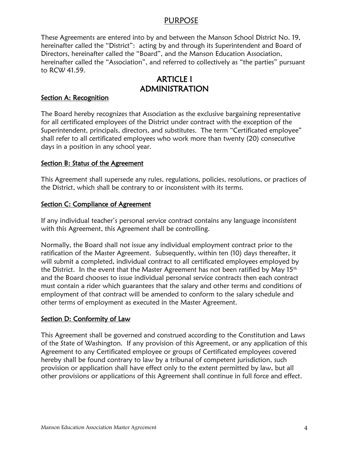## PURPOSE

These Agreements are entered into by and between the Manson School District No. 19, hereinafter called the "District": acting by and through its Superintendent and Board of Directors, hereinafter called the "Board", and the Manson Education Association, hereinafter called the "Association", and referred to collectively as "the parties" pursuant to RCW 41.59.

# ARTICLE I ADMINISTRATION

#### Section A: Recognition

The Board hereby recognizes that Association as the exclusive bargaining representative for all certificated employees of the District under contract with the exception of the Superintendent, principals, directors, and substitutes. The term "Certificated employee" shall refer to all certificated employees who work more than twenty (20) consecutive days in a position in any school year.

#### Section B: Status of the Agreement

This Agreement shall supersede any rules, regulations, policies, resolutions, or practices of the District, which shall be contrary to or inconsistent with its terms.

#### Section C: Compliance of Agreement

If any individual teacher's personal service contract contains any language inconsistent with this Agreement, this Agreement shall be controlling.

Normally, the Board shall not issue any individual employment contract prior to the ratification of the Master Agreement. Subsequently, within ten (10) days thereafter, it will submit a completed, individual contract to all certificated employees employed by the District. In the event that the Master Agreement has not been ratified by May  $15<sup>th</sup>$ and the Board chooses to issue individual personal service contracts then each contract must contain a rider which guarantees that the salary and other terms and conditions of employment of that contract will be amended to conform to the salary schedule and other terms of employment as executed in the Master Agreement.

## Section D: Conformity of Law

This Agreement shall be governed and construed according to the Constitution and Laws of the State of Washington. If any provision of this Agreement, or any application of this Agreement to any Certificated employee or groups of Certificated employees covered hereby shall be found contrary to law by a tribunal of competent jurisdiction, such provision or application shall have effect only to the extent permitted by law, but all other provisions or applications of this Agreement shall continue in full force and effect.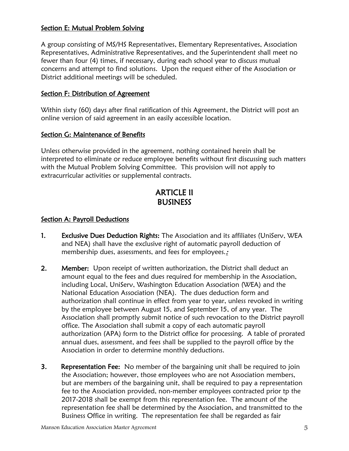#### Section E: Mutual Problem Solving

A group consisting of MS/HS Representatives, Elementary Representatives, Association Representatives, Administrative Representatives, and the Superintendent shall meet no fewer than four (4) times, if necessary, during each school year to discuss mutual concerns and attempt to find solutions. Upon the request either of the Association or District additional meetings will be scheduled.

## Section F: Distribution of Agreement

Within sixty (60) days after final ratification of this Agreement, the District will post an online version of said agreement in an easily accessible location.

#### Section G: Maintenance of Benefits

Unless otherwise provided in the agreement, nothing contained herein shall be interpreted to eliminate or reduce employee benefits without first discussing such matters with the Mutual Problem Solving Committee. This provision will not apply to extracurricular activities or supplemental contracts.

# ARTICLE II BUSINESS

#### Section A: Payroll Deductions

- 1. Exclusive Dues Deduction Rights: The Association and its affiliates (UniServ, WEA and NEA) shall have the exclusive right of automatic payroll deduction of membership dues, assessments, and fees for employees.:
- 2. Member: Upon receipt of written authorization, the District shall deduct an amount equal to the fees and dues required for membership in the Association, including Local, UniServ, Washington Education Association (WEA) and the National Education Association (NEA). The dues deduction form and authorization shall continue in effect from year to year, unless revoked in writing by the employee between August 15, and September 15, of any year. The Association shall promptly submit notice of such revocation to the District payroll office. The Association shall submit a copy of each automatic payroll authorization (APA) form to the District office for processing. A table of prorated annual dues, assessment, and fees shall be supplied to the payroll office by the Association in order to determine monthly deductions.
- **3.** Representation Fee: No member of the bargaining unit shall be required to join the Association; however, those employees who are not Association members, but are members of the bargaining unit, shall be required to pay a representation fee to the Association provided, non-member employees contracted prior tp the 2017-2018 shall be exempt from this representation fee. The amount of the representation fee shall be determined by the Association, and transmitted to the Business Office in writing. The representation fee shall be regarded as fair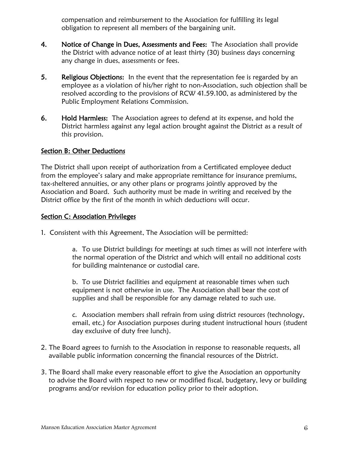compensation and reimbursement to the Association for fulfilling its legal obligation to represent all members of the bargaining unit.

- 4. Notice of Change in Dues, Assessments and Fees: The Association shall provide the District with advance notice of at least thirty (30) business days concerning any change in dues, assessments or fees.
- 5. Religious Objections: In the event that the representation fee is regarded by an employee as a violation of his/her right to non-Association, such objection shall be resolved according to the provisions of RCW 41.59.100, as administered by the Public Employment Relations Commission.
- 6. Hold Harmless: The Association agrees to defend at its expense, and hold the District harmless against any legal action brought against the District as a result of this provision.

#### Section B: Other Deductions

The District shall upon receipt of authorization from a Certificated employee deduct from the employee's salary and make appropriate remittance for insurance premiums, tax-sheltered annuities, or any other plans or programs jointly approved by the Association and Board. Such authority must be made in writing and received by the District office by the first of the month in which deductions will occur.

## Section C: Association Privileges

1. Consistent with this Agreement, The Association will be permitted:

a. To use District buildings for meetings at such times as will not interfere with the normal operation of the District and which will entail no additional costs for building maintenance or custodial care.

b. To use District facilities and equipment at reasonable times when such equipment is not otherwise in use. The Association shall bear the cost of supplies and shall be responsible for any damage related to such use.

c. Association members shall refrain from using district resources (technology, email, etc.) for Association purposes during student instructional hours (student day exclusive of duty free lunch).

- 2. The Board agrees to furnish to the Association in response to reasonable requests, all available public information concerning the financial resources of the District.
- 3. The Board shall make every reasonable effort to give the Association an opportunity to advise the Board with respect to new or modified fiscal, budgetary, levy or building programs and/or revision for education policy prior to their adoption.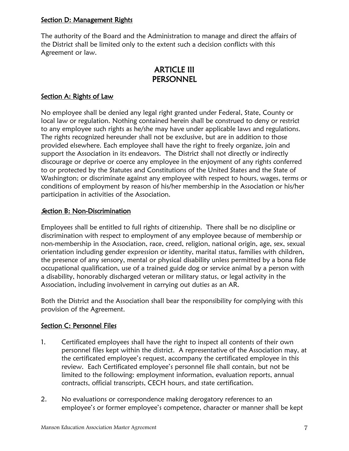## Section D: Management Rights

The authority of the Board and the Administration to manage and direct the affairs of the District shall be limited only to the extent such a decision conflicts with this Agreement or law.

# ARTICLE III **PERSONNEL**

## Section A: Rights of Law

No employee shall be denied any legal right granted under Federal, State, County or local law or regulation. Nothing contained herein shall be construed to deny or restrict to any employee such rights as he/she may have under applicable laws and regulations. The rights recognized hereunder shall not be exclusive, but are in addition to those provided elsewhere. Each employee shall have the right to freely organize, join and support the Association in its endeavors. The District shall not directly or indirectly discourage or deprive or coerce any employee in the enjoyment of any rights conferred to or protected by the Statutes and Constitutions of the United States and the State of Washington; or discriminate against any employee with respect to hours, wages, terms or conditions of employment by reason of his/her membership in the Association or his/her participation in activities of the Association.

#### Section B: Non-Discrimination

Employees shall be entitled to full rights of citizenship. There shall be no discipline or discrimination with respect to employment of any employee because of membership or non-membership in the Association, race, creed, religion, national origin, age, sex, sexual orientation including gender expression or identity, marital status, families with children, the presence of any sensory, mental or physical disability unless permitted by a bona fide occupational qualification, use of a trained guide dog or service animal by a person with a disability, honorably discharged veteran or military status, or legal activity in the Association, including involvement in carrying out duties as an AR.

Both the District and the Association shall bear the responsibility for complying with this provision of the Agreement.

#### Section C: Personnel Files

- 1. Certificated employees shall have the right to inspect all contents of their own personnel files kept within the district. A representative of the Association may, at the certificated employee's request, accompany the certificated employee in this review. Each Certificated employee's personnel file shall contain, but not be limited to the following: employment information, evaluation reports, annual contracts, official transcripts, CECH hours, and state certification.
- 2. No evaluations or correspondence making derogatory references to an employee's or former employee's competence, character or manner shall be kept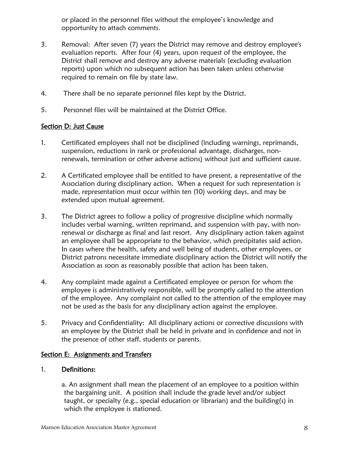or placed in the personnel files without the employee's knowledge and opportunity to attach comments.

- 3. Removal: After seven (7) years the District may remove and destroy employee's evaluation reports. After four (4) years, upon request of the employee, the District shall remove and destroy any adverse materials (excluding evaluation reports) upon which no subsequent action has been taken unless otherwise required to remain on file by state law.
- 4. There shall be no separate personnel files kept by the District.
- 5. Personnel files will be maintained at the District Office.

## Section D: Just Cause

- 1. Certificated employees shall not be disciplined (including warnings, reprimands, suspension, reductions in rank or professional advantage, discharges, nonrenewals, termination or other adverse actions) without just and sufficient cause.
- 2. A Certificated employee shall be entitled to have present, a representative of the Association during disciplinary action. When a request for such representation is made, representation must occur within ten (10) working days, and may be extended upon mutual agreement.
- 3. The District agrees to follow a policy of progressive discipline which normally includes verbal warning, written reprimand, and suspension with pay, with nonrenewal or discharge as final and last resort. Any disciplinary action taken against an employee shall be appropriate to the behavior, which precipitates said action. In cases where the health, safety and well being of students, other employees, or District patrons necessitate immediate disciplinary action the District will notify the Association as soon as reasonably possible that action has been taken.
- 4. Any complaint made against a Certificated employee or person for whom the employee is administratively responsible, will be promptly called to the attention of the employee. Any complaint not called to the attention of the employee may not be used as the basis for any disciplinary action against the employee.
- 5. Privacy and Confidentiality: All disciplinary actions or corrective discussions with an employee by the District shall be held in private and in confidence and not in the presence of other staff, students or parents.

#### Section E: Assignments and Transfers

#### 1. Definitions:

a. An assignment shall mean the placement of an employee to a position within the bargaining unit. A position shall include the grade level and/or subject taught, or specialty (e.g., special education or librarian) and the building(s) in which the employee is stationed.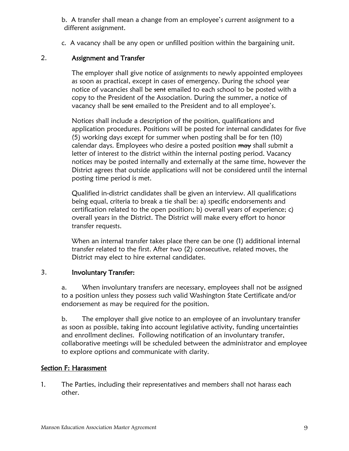b. A transfer shall mean a change from an employee's current assignment to a different assignment.

c. A vacancy shall be any open or unfilled position within the bargaining unit.

## 2. Assignment and Transfer

The employer shall give notice of assignments to newly appointed employees as soon as practical, except in cases of emergency. During the school year notice of vacancies shall be sent emailed to each school to be posted with a copy to the President of the Association. During the summer, a notice of vacancy shall be sent emailed to the President and to all employee's.

Notices shall include a description of the position, qualifications and application procedures. Positions will be posted for internal candidates for five (5) working days except for summer when posting shall be for ten (10) calendar days. Employees who desire a posted position may shall submit a letter of interest to the district within the internal posting period. Vacancy notices may be posted internally and externally at the same time, however the District agrees that outside applications will not be considered until the internal posting time period is met.

Qualified in-district candidates shall be given an interview. All qualifications being equal, criteria to break a tie shall be: a) specific endorsements and certification related to the open position; b) overall years of experience; c) overall years in the District. The District will make every effort to honor transfer requests.

When an internal transfer takes place there can be one (1) additional internal transfer related to the first. After two (2) consecutive, related moves, the District may elect to hire external candidates.

## 3. Involuntary Transfer:

a. When involuntary transfers are necessary, employees shall not be assigned to a position unless they possess such valid Washington State Certificate and/or endorsement as may be required for the position.

b. The employer shall give notice to an employee of an involuntary transfer as soon as possible, taking into account legislative activity, funding uncertainties and enrollment declines. Following notification of an involuntary transfer, collaborative meetings will be scheduled between the administrator and employee to explore options and communicate with clarity.

## Section F: Harassment

1. The Parties, including their representatives and members shall not harass each other.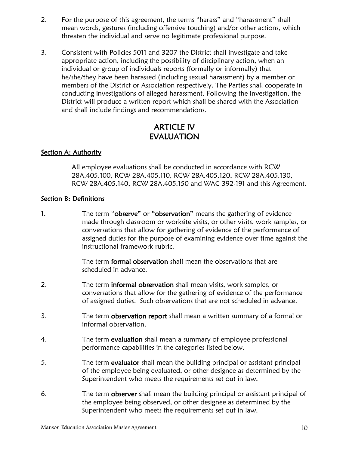- 2. For the purpose of this agreement, the terms "harass" and "harassment" shall mean words, gestures (including offensive touching) and/or other actions, which threaten the individual and serve no legitimate professional purpose.
- 3. Consistent with Policies 5011 and 3207 the District shall investigate and take appropriate action, including the possibility of disciplinary action, when an individual or group of individuals reports (formally or informally) that he/she/they have been harassed (including sexual harassment) by a member or members of the District or Association respectively. The Parties shall cooperate in conducting investigations of alleged harassment. Following the investigation, the District will produce a written report which shall be shared with the Association and shall include findings and recommendations.

# ARTICLE IV EVALUATION

## **Section A: Authority**

All employee evaluations shall be conducted in accordance with RCW 28A.405.100, RCW 28A.405.110, RCW 28A.405.120, RCW 28A.405.130, RCW 28A.405.140, RCW 28A.405.150 and WAC 392-191 and this Agreement.

#### Section B: Definitions

1. The term "observe" or "observation" means the gathering of evidence made through classroom or worksite visits, or other visits, work samples, or conversations that allow for gathering of evidence of the performance of assigned duties for the purpose of examining evidence over time against the instructional framework rubric.

> The term formal observation shall mean the observations that are scheduled in advance.

- 2. The term informal observation shall mean visits, work samples, or conversations that allow for the gathering of evidence of the performance of assigned duties. Such observations that are not scheduled in advance.
- 3. The term observation report shall mean a written summary of a formal or informal observation.
- 4. The term evaluation shall mean a summary of employee professional performance capabilities in the categories listed below.
- 5. The term evaluator shall mean the building principal or assistant principal of the employee being evaluated, or other designee as determined by the Superintendent who meets the requirements set out in law.
- 6. The term observer shall mean the building principal or assistant principal of the employee being observed, or other designee as determined by the Superintendent who meets the requirements set out in law.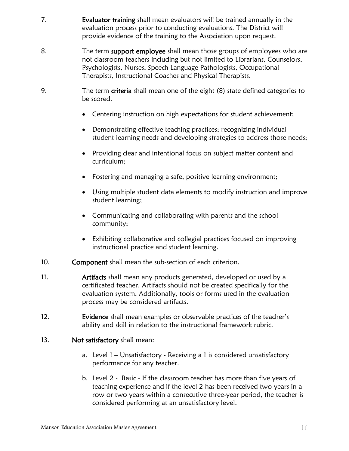- 7. **Evaluator training** shall mean evaluators will be trained annually in the evaluation process prior to conducting evaluations. The District will provide evidence of the training to the Association upon request.
- 8. The term support employee shall mean those groups of employees who are not classroom teachers including but not limited to Librarians, Counselors, Psychologists, Nurses, Speech Language Pathologists, Occupational Therapists, Instructional Coaches and Physical Therapists.
- 9. The term criteria shall mean one of the eight (8) state defined categories to be scored.
	- Centering instruction on high expectations for student achievement;
	- Demonstrating effective teaching practices; recognizing individual student learning needs and developing strategies to address those needs;
	- Providing clear and intentional focus on subject matter content and curriculum;
	- Fostering and managing a safe, positive learning environment;
	- Using multiple student data elements to modify instruction and improve student learning;
	- Communicating and collaborating with parents and the school community;
	- Exhibiting collaborative and collegial practices focused on improving instructional practice and student learning.
- 10. Component shall mean the sub-section of each criterion.
- 11. **Artifacts** shall mean any products generated, developed or used by a certificated teacher. Artifacts should not be created specifically for the evaluation system. Additionally, tools or forms used in the evaluation process may be considered artifacts.
- 12. **Evidence** shall mean examples or observable practices of the teacher's ability and skill in relation to the instructional framework rubric.

## 13. Not satisfactory shall mean:

- a. Level 1 Unsatisfactory Receiving a 1 is considered unsatisfactory performance for any teacher.
- b. Level 2 Basic If the classroom teacher has more than five years of teaching experience and if the level 2 has been received two years in a row or two years within a consecutive three-year period, the teacher is considered performing at an unsatisfactory level.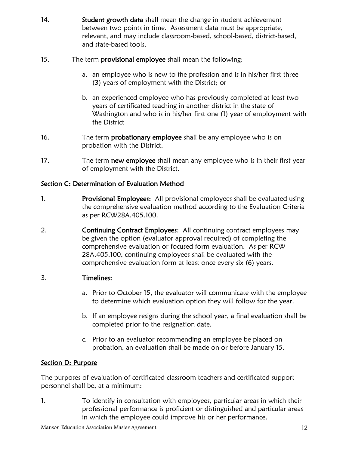- 14. **Student growth data** shall mean the change in student achievement between two points in time. Assessment data must be appropriate, relevant, and may include classroom-based, school-based, district-based, and state-based tools.
- 15. The term **provisional employee** shall mean the following:
	- a. an employee who is new to the profession and is in his/her first three (3) years of employment with the District; or
	- b. an experienced employee who has previously completed at least two years of certificated teaching in another district in the state of Washington and who is in his/her first one (1) year of employment with the District
- 16. The term **probationary employee** shall be any employee who is on probation with the District.
- 17. The term new employee shall mean any employee who is in their first year of employment with the District.

# Section C: Determination of Evaluation Method

- 1. **Provisional Employees:** All provisional employees shall be evaluated using the comprehensive evaluation method according to the Evaluation Criteria as per RCW28A.405.100.
- 2. **Continuing Contract Employees:** All continuing contract employees may be given the option (evaluator approval required) of completing the comprehensive evaluation or focused form evaluation. As per RCW 28A.405.100, continuing employees shall be evaluated with the comprehensive evaluation form at least once every six (6) years.

# 3. Timelines:

- a. Prior to October 15, the evaluator will communicate with the employee to determine which evaluation option they will follow for the year.
- b. If an employee resigns during the school year, a final evaluation shall be completed prior to the resignation date.
- c. Prior to an evaluator recommending an employee be placed on probation, an evaluation shall be made on or before January 15.

# Section D: Purpose

The purposes of evaluation of certificated classroom teachers and certificated support personnel shall be, at a minimum:

1. To identify in consultation with employees, particular areas in which their professional performance is proficient or distinguished and particular areas in which the employee could improve his or her performance.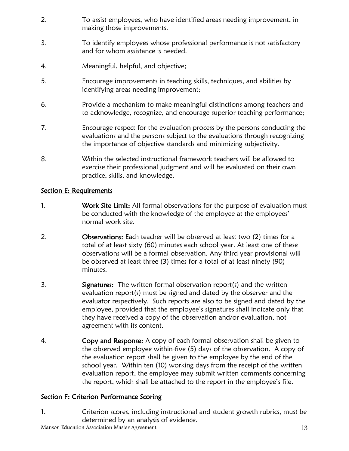- 2. To assist employees, who have identified areas needing improvement, in making those improvements.
- 3. To identify employees whose professional performance is not satisfactory and for whom assistance is needed.
- 4. Meaningful, helpful, and objective;
- 5. Encourage improvements in teaching skills, techniques, and abilities by identifying areas needing improvement;
- 6. Provide a mechanism to make meaningful distinctions among teachers and to acknowledge, recognize, and encourage superior teaching performance;
- 7. Encourage respect for the evaluation process by the persons conducting the evaluations and the persons subject to the evaluations through recognizing the importance of objective standards and minimizing subjectivity.
- 8. Within the selected instructional framework teachers will be allowed to exercise their professional judgment and will be evaluated on their own practice, skills, and knowledge.

# Section E: Requirements

- 1. Work Site Limit: All formal observations for the purpose of evaluation must be conducted with the knowledge of the employee at the employees' normal work site.
- 2. **Observations:** Each teacher will be observed at least two (2) times for a total of at least sixty (60) minutes each school year. At least one of these observations will be a formal observation. Any third year provisional will be observed at least three (3) times for a total of at least ninety (90) minutes.
- 3. **Signatures:** The written formal observation report(s) and the written evaluation report(s) must be signed and dated by the observer and the evaluator respectively. Such reports are also to be signed and dated by the employee, provided that the employee's signatures shall indicate only that they have received a copy of the observation and/or evaluation, not agreement with its content.
- 4. **Copy and Response:** A copy of each formal observation shall be given to the observed employee within five (5) days of the observation. A copy of the evaluation report shall be given to the employee by the end of the school year. Within ten (10) working days from the receipt of the written evaluation report, the employee may submit written comments concerning the report, which shall be attached to the report in the employee's file.

# Section F: Criterion Performance Scoring

1. Criterion scores, including instructional and student growth rubrics, must be determined by an analysis of evidence.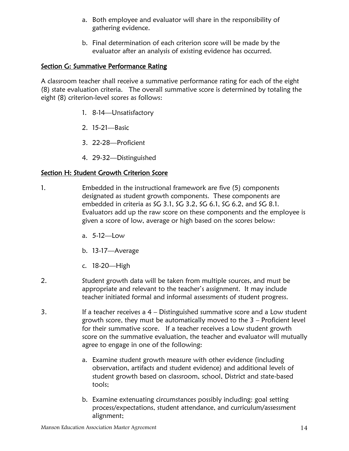- a. Both employee and evaluator will share in the responsibility of gathering evidence.
- b. Final determination of each criterion score will be made by the evaluator after an analysis of existing evidence has occurred.

## Section G: Summative Performance Rating

A classroom teacher shall receive a summative performance rating for each of the eight (8) state evaluation criteria. The overall summative score is determined by totaling the eight (8) criterion-level scores as follows:

- 1. 8-14—Unsatisfactory
- 2. 15-21—Basic
- 3. 22-28—Proficient
- 4. 29-32—Distinguished

# Section H: Student Growth Criterion Score

- 1. Embedded in the instructional framework are five (5) components designated as student growth components. These components are embedded in criteria as SG 3.1, SG 3.2, SG 6.1, SG 6.2, and SG 8.1. Evaluators add up the raw score on these components and the employee is given a score of low, average or high based on the scores below:
	- a. 5-12—Low
	- b. 13-17—Average
	- c. 18-20—High
- 2. Student growth data will be taken from multiple sources, and must be appropriate and relevant to the teacher's assignment. It may include teacher initiated formal and informal assessments of student progress.
- 3. If a teacher receives a 4 Distinguished summative score and a Low student growth score, they must be automatically moved to the 3 – Proficient level for their summative score. If a teacher receives a Low student growth score on the summative evaluation, the teacher and evaluator will mutually agree to engage in one of the following:
	- a. Examine student growth measure with other evidence (including observation, artifacts and student evidence) and additional levels of student growth based on classroom, school, District and state-based tools;
	- b. Examine extenuating circumstances possibly including: goal setting process/expectations, student attendance, and curriculum/assessment alignment;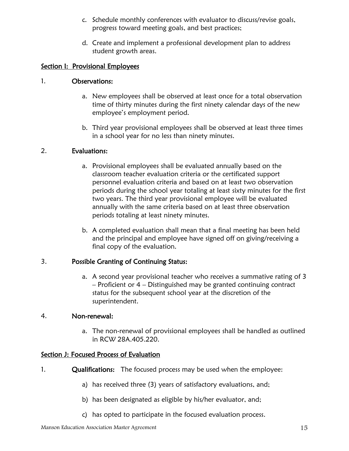- c. Schedule monthly conferences with evaluator to discuss/revise goals, progress toward meeting goals, and best practices;
- d. Create and implement a professional development plan to address student growth areas.

#### Section I: Provisional Employees

#### 1. Observations:

- a. New employees shall be observed at least once for a total observation time of thirty minutes during the first ninety calendar days of the new employee's employment period.
- b. Third year provisional employees shall be observed at least three times in a school year for no less than ninety minutes.

#### 2. Evaluations:

- a. Provisional employees shall be evaluated annually based on the classroom teacher evaluation criteria or the certificated support personnel evaluation criteria and based on at least two observation periods during the school year totaling at least sixty minutes for the first two years. The third year provisional employee will be evaluated annually with the same criteria based on at least three observation periods totaling at least ninety minutes.
- b. A completed evaluation shall mean that a final meeting has been held and the principal and employee have signed off on giving/receiving a final copy of the evaluation.

## 3. Possible Granting of Continuing Status:

a. A second year provisional teacher who receives a summative rating of 3 – Proficient or 4 – Distinguished may be granted continuing contract status for the subsequent school year at the discretion of the superintendent.

#### 4. Non-renewal:

a. The non-renewal of provisional employees shall be handled as outlined in RCW 28A.405.220.

## Section J: Focused Process of Evaluation

- 1. **Qualifications:** The focused process may be used when the employee:
	- a) has received three (3) years of satisfactory evaluations, and;
	- b) has been designated as eligible by his/her evaluator, and;
	- c) has opted to participate in the focused evaluation process.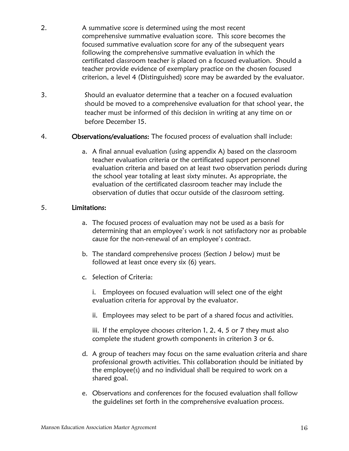- 2. A summative score is determined using the most recent comprehensive summative evaluation score. This score becomes the focused summative evaluation score for any of the subsequent years following the comprehensive summative evaluation in which the certificated classroom teacher is placed on a focused evaluation. Should a teacher provide evidence of exemplary practice on the chosen focused criterion, a level 4 (Distinguished) score may be awarded by the evaluator.
- 3. Should an evaluator determine that a teacher on a focused evaluation should be moved to a comprehensive evaluation for that school year, the teacher must be informed of this decision in writing at any time on or before December 15.
- 4. Observations/evaluations: The focused process of evaluation shall include:
	- a. A final annual evaluation (using appendix A) based on the classroom teacher evaluation criteria or the certificated support personnel evaluation criteria and based on at least two observation periods during the school year totaling at least sixty minutes. As appropriate, the evaluation of the certificated classroom teacher may include the observation of duties that occur outside of the classroom setting.

## 5. Limitations:

- a. The focused process of evaluation may not be used as a basis for determining that an employee's work is not satisfactory nor as probable cause for the non-renewal of an employee's contract.
- b. The standard comprehensive process (Section J below) must be followed at least once every six (6) years.
- c. Selection of Criteria:

i. Employees on focused evaluation will select one of the eight evaluation criteria for approval by the evaluator.

ii. Employees may select to be part of a shared focus and activities.

iii. If the employee chooses criterion 1, 2, 4, 5 or 7 they must also complete the student growth components in criterion 3 or 6.

- d. A group of teachers may focus on the same evaluation criteria and share professional growth activities. This collaboration should be initiated by the employee(s) and no individual shall be required to work on a shared goal.
- e. Observations and conferences for the focused evaluation shall follow the guidelines set forth in the comprehensive evaluation process.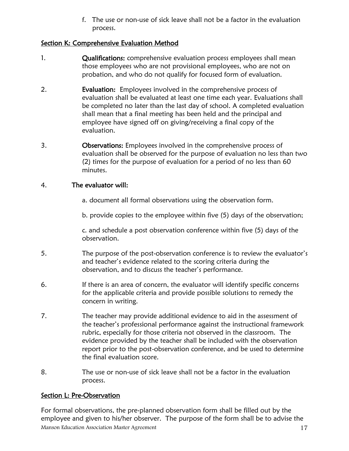f. The use or non-use of sick leave shall not be a factor in the evaluation process.

# Section K: Comprehensive Evaluation Method

- 1. Qualifications: comprehensive evaluation process employees shall mean those employees who are not provisional employees, who are not on probation, and who do not qualify for focused form of evaluation.
- 2. **Evaluation:** Employees involved in the comprehensive process of evaluation shall be evaluated at least one time each year. Evaluations shall be completed no later than the last day of school. A completed evaluation shall mean that a final meeting has been held and the principal and employee have signed off on giving/receiving a final copy of the evaluation.
- 3. Observations: Employees involved in the comprehensive process of evaluation shall be observed for the purpose of evaluation no less than two (2) times for the purpose of evaluation for a period of no less than 60 minutes.

# 4. The evaluator will:

a. document all formal observations using the observation form.

b. provide copies to the employee within five (5) days of the observation;

c. and schedule a post observation conference within five (5) days of the observation.

- 5. The purpose of the post-observation conference is to review the evaluator's and teacher's evidence related to the scoring criteria during the observation, and to discuss the teacher's performance.
- 6. If there is an area of concern, the evaluator will identify specific concerns for the applicable criteria and provide possible solutions to remedy the concern in writing.
- 7. The teacher may provide additional evidence to aid in the assessment of the teacher's professional performance against the instructional framework rubric, especially for those criteria not observed in the classroom. The evidence provided by the teacher shall be included with the observation report prior to the post-observation conference, and be used to determine the final evaluation score.
- 8. The use or non-use of sick leave shall not be a factor in the evaluation process.

# Section L: Pre-Observation

Manson Education Association Master Agreement 17 For formal observations, the pre-planned observation form shall be filled out by the employee and given to his/her observer. The purpose of the form shall be to advise the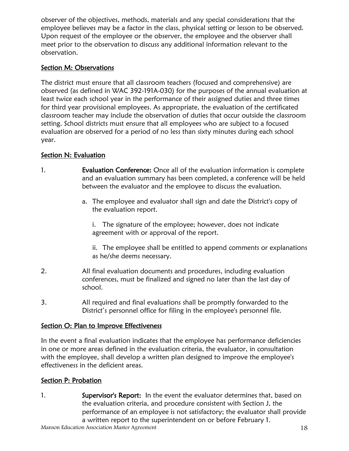observer of the objectives, methods, materials and any special considerations that the employee believes may be a factor in the class, physical setting or lesson to be observed. Upon request of the employee or the observer, the employee and the observer shall meet prior to the observation to discuss any additional information relevant to the observation.

# Section M: Observations

The district must ensure that all classroom teachers (focused and comprehensive) are observed (as defined in WAC 392-191A-030) for the purposes of the annual evaluation at least twice each school year in the performance of their assigned duties and three times for third year provisional employees. As appropriate, the evaluation of the certificated classroom teacher may include the observation of duties that occur outside the classroom setting. School districts must ensure that all employees who are subject to a focused evaluation are observed for a period of no less than sixty minutes during each school year.

# Section N: Evaluation

- 1. **Evaluation Conference:** Once all of the evaluation information is complete and an evaluation summary has been completed, a conference will be held between the evaluator and the employee to discuss the evaluation.
	- a. The employee and evaluator shall sign and date the District's copy of the evaluation report.

i. The signature of the employee; however, does not indicate agreement with or approval of the report.

ii. The employee shall be entitled to append comments or explanations as he/she deems necessary.

- 2. All final evaluation documents and procedures, including evaluation conferences, must be finalized and signed no later than the last day of school.
- 3. All required and final evaluations shall be promptly forwarded to the District's personnel office for filing in the employee's personnel file.

## Section O: Plan to Improve Effectiveness

In the event a final evaluation indicates that the employee has performance deficiencies in one or more areas defined in the evaluation criteria, the evaluator, in consultation with the employee, shall develop a written plan designed to improve the employee's effectiveness in the deficient areas.

# Section P: Probation

1. Supervisor's Report: In the event the evaluator determines that, based on the evaluation criteria, and procedure consistent with Section J, the performance of an employee is not satisfactory; the evaluator shall provide a written report to the superintendent on or before February 1.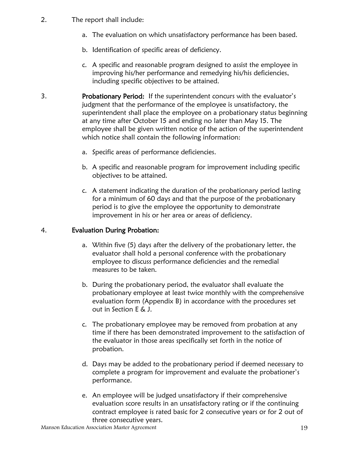- 2. The report shall include:
	- a. The evaluation on which unsatisfactory performance has been based.
	- b. Identification of specific areas of deficiency.
	- c. A specific and reasonable program designed to assist the employee in improving his/her performance and remedying his/his deficiencies, including specific objectives to be attained.
- 3. Probationary Period: If the superintendent concurs with the evaluator's judgment that the performance of the employee is unsatisfactory, the superintendent shall place the employee on a probationary status beginning at any time after October 15 and ending no later than May 15. The employee shall be given written notice of the action of the superintendent which notice shall contain the following information:
	- a. Specific areas of performance deficiencies.
	- b. A specific and reasonable program for improvement including specific objectives to be attained.
	- c. A statement indicating the duration of the probationary period lasting for a minimum of 60 days and that the purpose of the probationary period is to give the employee the opportunity to demonstrate improvement in his or her area or areas of deficiency.

## 4. Evaluation During Probation:

- a. Within five (5) days after the delivery of the probationary letter, the evaluator shall hold a personal conference with the probationary employee to discuss performance deficiencies and the remedial measures to be taken.
- b. During the probationary period, the evaluator shall evaluate the probationary employee at least twice monthly with the comprehensive evaluation form (Appendix B) in accordance with the procedures set out in Section E & J.
- c. The probationary employee may be removed from probation at any time if there has been demonstrated improvement to the satisfaction of the evaluator in those areas specifically set forth in the notice of probation.
- d. Days may be added to the probationary period if deemed necessary to complete a program for improvement and evaluate the probationer's performance.
- e. An employee will be judged unsatisfactory if their comprehensive evaluation score results in an unsatisfactory rating or if the continuing contract employee is rated basic for 2 consecutive years or for 2 out of three consecutive years.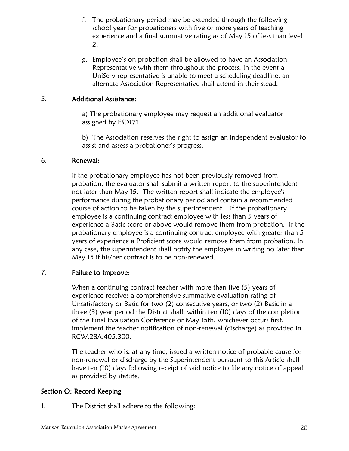- f. The probationary period may be extended through the following school year for probationers with five or more years of teaching experience and a final summative rating as of May 15 of less than level 2.
- g. Employee's on probation shall be allowed to have an Association Representative with them throughout the process. In the event a UniServ representative is unable to meet a scheduling deadline, an alternate Association Representative shall attend in their stead.

#### 5. Additional Assistance:

a) The probationary employee may request an additional evaluator assigned by ESD171

b) The Association reserves the right to assign an independent evaluator to assist and assess a probationer's progress.

#### 6. Renewal:

If the probationary employee has not been previously removed from probation, the evaluator shall submit a written report to the superintendent not later than May 15. The written report shall indicate the employee's performance during the probationary period and contain a recommended course of action to be taken by the superintendent. If the probationary employee is a continuing contract employee with less than 5 years of experience a Basic score or above would remove them from probation. If the probationary employee is a continuing contract employee with greater than 5 years of experience a Proficient score would remove them from probation. In any case, the superintendent shall notify the employee in writing no later than May 15 if his/her contract is to be non-renewed.

#### 7. Failure to Improve:

When a continuing contract teacher with more than five (5) years of experience receives a comprehensive summative evaluation rating of Unsatisfactory or Basic for two (2) consecutive years, or two (2) Basic in a three (3) year period the District shall, within ten (10) days of the completion of the Final Evaluation Conference or May 15th, whichever occurs first, implement the teacher notification of non-renewal (discharge) as provided in RCW.28A.405.300.

The teacher who is, at any time, issued a written notice of probable cause for non-renewal or discharge by the Superintendent pursuant to this Article shall have ten (10) days following receipt of said notice to file any notice of appeal as provided by statute.

#### Section Q: Record Keeping

1. The District shall adhere to the following: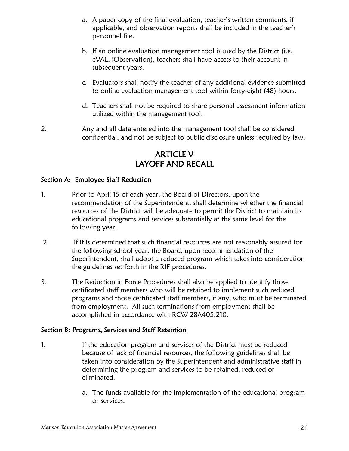- a. A paper copy of the final evaluation, teacher's written comments, if applicable, and observation reports shall be included in the teacher's personnel file.
- b. If an online evaluation management tool is used by the District (i.e. eVAL, iObservation), teachers shall have access to their account in subsequent years.
- c. Evaluators shall notify the teacher of any additional evidence submitted to online evaluation management tool within forty-eight (48) hours.
- d. Teachers shall not be required to share personal assessment information utilized within the management tool.
- 2. Any and all data entered into the management tool shall be considered confidential, and not be subject to public disclosure unless required by law.

# ARTICLE V LAYOFF AND RECALL

## Section A: Employee Staff Reduction

- 1. Prior to April 15 of each year, the Board of Directors, upon the recommendation of the Superintendent, shall determine whether the financial resources of the District will be adequate to permit the District to maintain its educational programs and services substantially at the same level for the following year.
- 2. If it is determined that such financial resources are not reasonably assured for the following school year, the Board, upon recommendation of the Superintendent, shall adopt a reduced program which takes into consideration the guidelines set forth in the RIF procedures.
- 3. The Reduction in Force Procedures shall also be applied to identify those certificated staff members who will be retained to implement such reduced programs and those certificated staff members, if any, who must be terminated from employment. All such terminations from employment shall be accomplished in accordance with RCW 28A405.210.

## Section B: Programs, Services and Staff Retention

- 1. If the education program and services of the District must be reduced because of lack of financial resources, the following guidelines shall be taken into consideration by the Superintendent and administrative staff in determining the program and services to be retained, reduced or eliminated.
	- a. The funds available for the implementation of the educational program or services.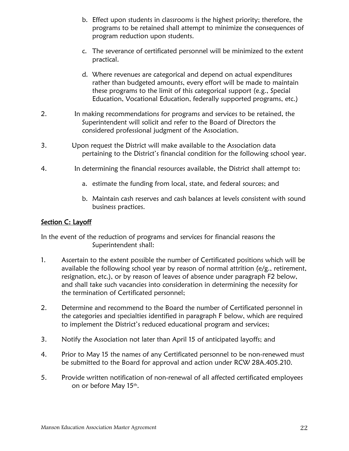- b. Effect upon students in classrooms is the highest priority; therefore, the programs to be retained shall attempt to minimize the consequences of program reduction upon students.
- c. The severance of certificated personnel will be minimized to the extent practical.
- d. Where revenues are categorical and depend on actual expenditures rather than budgeted amounts, every effort will be made to maintain these programs to the limit of this categorical support (e.g., Special Education, Vocational Education, federally supported programs, etc.)
- 2. In making recommendations for programs and services to be retained, the Superintendent will solicit and refer to the Board of Directors the considered professional judgment of the Association.
- 3. Upon request the District will make available to the Association data pertaining to the District's financial condition for the following school year.
- 4. In determining the financial resources available, the District shall attempt to:
	- a. estimate the funding from local, state, and federal sources; and
	- b. Maintain cash reserves and cash balances at levels consistent with sound business practices.

## Section C: Layoff

In the event of the reduction of programs and services for financial reasons the Superintendent shall:

- 1. Ascertain to the extent possible the number of Certificated positions which will be available the following school year by reason of normal attrition (e/g., retirement, resignation, etc.), or by reason of leaves of absence under paragraph F2 below, and shall take such vacancies into consideration in determining the necessity for the termination of Certificated personnel;
- 2. Determine and recommend to the Board the number of Certificated personnel in the categories and specialties identified in paragraph F below, which are required to implement the District's reduced educational program and services;
- 3. Notify the Association not later than April 15 of anticipated layoffs; and
- 4. Prior to May 15 the names of any Certificated personnel to be non-renewed must be submitted to the Board for approval and action under RCW 28A.405.210.
- 5. Provide written notification of non-renewal of all affected certificated employees on or before May 15<sup>th</sup>.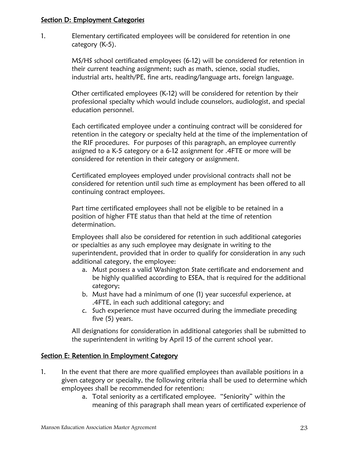#### Section D: Employment Categories

1. Elementary certificated employees will be considered for retention in one category (K-5).

> MS/HS school certificated employees (6-12) will be considered for retention in their current teaching assignment; such as math, science, social studies, industrial arts, health/PE, fine arts, reading/language arts, foreign language.

> Other certificated employees (K-12) will be considered for retention by their professional specialty which would include counselors, audiologist, and special education personnel.

Each certificated employee under a continuing contract will be considered for retention in the category or specialty held at the time of the implementation of the RIF procedures. For purposes of this paragraph, an employee currently assigned to a K-5 category or a 6-12 assignment for .4FTE or more will be considered for retention in their category or assignment.

Certificated employees employed under provisional contracts shall not be considered for retention until such time as employment has been offered to all continuing contract employees.

Part time certificated employees shall not be eligible to be retained in a position of higher FTE status than that held at the time of retention determination.

Employees shall also be considered for retention in such additional categories or specialties as any such employee may designate in writing to the superintendent, provided that in order to qualify for consideration in any such additional category, the employee:

- a. Must possess a valid Washington State certificate and endorsement and be highly qualified according to ESEA, that is required for the additional category;
- b. Must have had a minimum of one (1) year successful experience, at .4FTE, in each such additional category; and
- c. Such experience must have occurred during the immediate preceding five (5) years.

All designations for consideration in additional categories shall be submitted to the superintendent in writing by April 15 of the current school year.

# Section E: Retention in Employment Category

- 1. In the event that there are more qualified employees than available positions in a given category or specialty, the following criteria shall be used to determine which employees shall be recommended for retention:
	- a. Total seniority as a certificated employee. "Seniority" within the meaning of this paragraph shall mean years of certificated experience of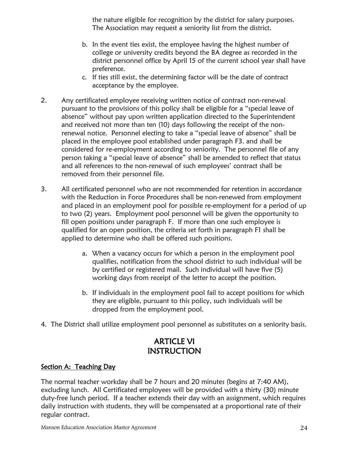the nature eligible for recognition by the district for salary purposes. The Association may request a seniority list from the district.

- b. In the event ties exist, the employee having the highest number of college or university credits beyond the BA degree as recorded in the district personnel office by April 15 of the current school year shall have preference.
- c. If ties still exist, the determining factor will be the date of contract acceptance by the employee.
- 2. Any certificated employee receiving written notice of contract non-renewal pursuant to the provisions of this policy shall be eligible for a "special leave of absence" without pay upon written application directed to the Superintendent and received not more than ten (10) days following the receipt of the nonrenewal notice. Personnel electing to take a "special leave of absence" shall be placed in the employee pool established under paragraph F3. and shall be considered for re-employment according to seniority. The personnel file of any person taking a "special leave of absence" shall be amended to reflect that status and all references to the non-renewal of such employees' contract shall be removed from their personnel file.
- 3. All certificated personnel who are not recommended for retention in accordance with the Reduction in Force Procedures shall be non-renewed from employment and placed in an employment pool for possible re-employment for a period of up to two (2) years. Employment pool personnel will be given the opportunity to fill open positions under paragraph F. If more than one such employee is qualified for an open position, the criteria set forth in paragraph F1 shall be applied to determine who shall be offered such positions.
	- a. When a vacancy occurs for which a person in the employment pool qualifies, notification from the school district to such individual will be by certified or registered mail. Such individual will have five (5) working days from receipt of the letter to accept the position.
	- b. If individuals in the employment pool fail to accept positions for which they are eligible, pursuant to this policy, such individuals will be dropped from the employment pool.
- 4. The District shall utilize employment pool personnel as substitutes on a seniority basis.

# ARTICLE VI INSTRUCTION

# Section A: Teaching Day

The normal teacher workday shall be 7 hours and 20 minutes (begins at 7:40 AM), excluding lunch. All Certificated employees will be provided with a thirty (30) minute duty-free lunch period. If a teacher extends their day with an assignment, which requires daily instruction with students, they will be compensated at a proportional rate of their regular contract.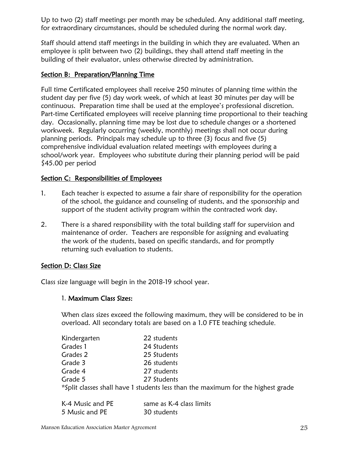Up to two (2) staff meetings per month may be scheduled. Any additional staff meeting, for extraordinary circumstances, should be scheduled during the normal work day.

Staff should attend staff meetings in the building in which they are evaluated. When an employee is split between two (2) buildings, they shall attend staff meeting in the building of their evaluator, unless otherwise directed by administration.

## Section B: Preparation/Planning Time

Full time Certificated employees shall receive 250 minutes of planning time within the student day per five (5) day work week, of which at least 30 minutes per day will be continuous. Preparation time shall be used at the employee's professional discretion. Part-time Certificated employees will receive planning time proportional to their teaching day. Occasionally, planning time may be lost due to schedule changes or a shortened workweek. Regularly occurring (weekly, monthly) meetings shall not occur during planning periods. Principals may schedule up to three (3) focus and five (5) comprehensive individual evaluation related meetings with employees during a school/work year. Employees who substitute during their planning period will be paid \$45.00 per period

## Section C: Responsibilities of Employees

- 1. Each teacher is expected to assume a fair share of responsibility for the operation of the school, the guidance and counseling of students, and the sponsorship and support of the student activity program within the contracted work day.
- 2. There is a shared responsibility with the total building staff for supervision and maintenance of order. Teachers are responsible for assigning and evaluating the work of the students, based on specific standards, and for promptly returning such evaluation to students.

# Section D: Class Size

Class size language will begin in the 2018-19 school year.

## 1. Maximum Class Sizes:

When class sizes exceed the following maximum, they will be considered to be in overload. All secondary totals are based on a 1.0 FTE teaching schedule.

| Kindergarten | 22 students                                                                      |
|--------------|----------------------------------------------------------------------------------|
| Grades 1     | 24 Students                                                                      |
| Grades 2     | 25 Students                                                                      |
| Grade 3      | 26 students                                                                      |
| Grade 4      | 27 students                                                                      |
| Grade 5      | 27 Students                                                                      |
|              | *Split classes shall have 1 students less than the maximum for the highest grade |

| K-4 Music and PE | same as K-4 class limits |
|------------------|--------------------------|
| 5 Music and PE   | 30 students              |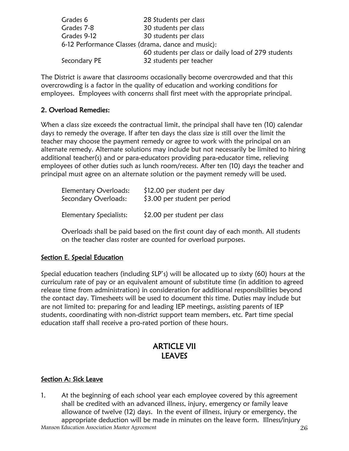| Grades 6                                           | 28 Students per class                               |
|----------------------------------------------------|-----------------------------------------------------|
| Grades 7-8                                         | 30 students per class                               |
| Grades 9-12                                        | 30 students per class                               |
| 6-12 Performance Classes (drama, dance and music): |                                                     |
|                                                    | 60 students per class or daily load of 279 students |
| Secondary PE                                       | 32 students per teacher                             |
|                                                    |                                                     |

The District is aware that classrooms occasionally become overcrowded and that this overcrowding is a factor in the quality of education and working conditions for employees. Employees with concerns shall first meet with the appropriate principal.

## 2. Overload Remedies:

When a class size exceeds the contractual limit, the principal shall have ten (10) calendar days to remedy the overage. If after ten days the class size is still over the limit the teacher may choose the payment remedy or agree to work with the principal on an alternate remedy. Alternate solutions may include but not necessarily be limited to hiring additional teacher(s) and or para-educators providing para-educator time, relieving employees of other duties such as lunch room/recess. After ten (10) days the teacher and principal must agree on an alternate solution or the payment remedy will be used.

| Elementary Overloads:<br>Secondary Overloads: | \$12.00 per student per day<br>\$3.00 per student per period |  |  |
|-----------------------------------------------|--------------------------------------------------------------|--|--|
| Elementary Specialists:                       | \$2.00 per student per class                                 |  |  |

Overloads shall be paid based on the first count day of each month. All students on the teacher class roster are counted for overload purposes.

## Section E. Special Education

Special education teachers (including SLP's) will be allocated up to sixty (60) hours at the curriculum rate of pay or an equivalent amount of substitute time (in addition to agreed release time from administration) in consideration for additional responsibilities beyond the contact day. Timesheets will be used to document this time. Duties may include but are not limited to: preparing for and leading IEP meetings, assisting parents of IEP students, coordinating with non-district support team members, etc. Part time special education staff shall receive a pro-rated portion of these hours.

# ARTICLE VII **LEAVES**

## Section A: Sick Leave

Manson Education Association Master Agreement 26 1. At the beginning of each school year each employee covered by this agreement shall be credited with an advanced illness, injury, emergency or family leave allowance of twelve (12) days. In the event of illness, injury or emergency, the appropriate deduction will be made in minutes on the leave form. Illness/injury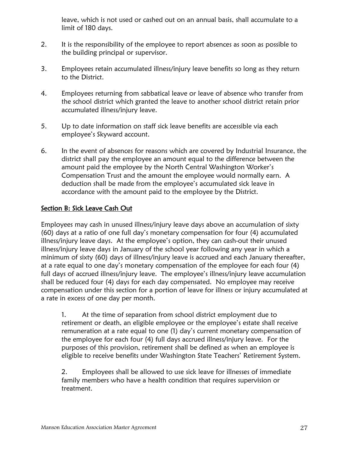leave, which is not used or cashed out on an annual basis, shall accumulate to a limit of 180 days.

- 2. It is the responsibility of the employee to report absences as soon as possible to the building principal or supervisor.
- 3. Employees retain accumulated illness/injury leave benefits so long as they return to the District.
- 4. Employees returning from sabbatical leave or leave of absence who transfer from the school district which granted the leave to another school district retain prior accumulated illness/injury leave.
- 5. Up to date information on staff sick leave benefits are accessible via each employee's Skyward account.
- 6. In the event of absences for reasons which are covered by Industrial Insurance, the district shall pay the employee an amount equal to the difference between the amount paid the employee by the North Central Washington Worker's Compensation Trust and the amount the employee would normally earn. A deduction shall be made from the employee's accumulated sick leave in accordance with the amount paid to the employee by the District.

# Section B: Sick Leave Cash Out

Employees may cash in unused illness/injury leave days above an accumulation of sixty (60) days at a ratio of one full day's monetary compensation for four (4) accumulated illness/injury leave days. At the employee's option, they can cash-out their unused illness/injury leave days in January of the school year following any year in which a minimum of sixty (60) days of illness/injury leave is accrued and each January thereafter, at a rate equal to one day's monetary compensation of the employee for each four (4) full days of accrued illness/injury leave. The employee's illness/injury leave accumulation shall be reduced four (4) days for each day compensated. No employee may receive compensation under this section for a portion of leave for illness or injury accumulated at a rate in excess of one day per month.

1. At the time of separation from school district employment due to retirement or death, an eligible employee or the employee's estate shall receive remuneration at a rate equal to one (1) day's current monetary compensation of the employee for each four (4) full days accrued illness/injury leave. For the purposes of this provision, retirement shall be defined as when an employee is eligible to receive benefits under Washington State Teachers' Retirement System.

2. Employees shall be allowed to use sick leave for illnesses of immediate family members who have a health condition that requires supervision or treatment.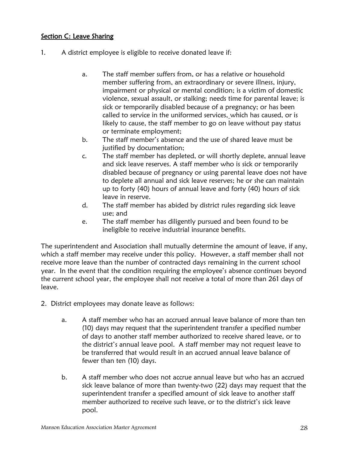# Section C: Leave Sharing

- 1. A district employee is eligible to receive donated leave if:
	- a. The staff member suffers from, or has a relative or household member suffering from, an extraordinary or severe illness, injury, impairment or physical or mental condition; is a victim of domestic violence, sexual assault, or stalking; needs time for parental leave; is sick or temporarily disabled because of a pregnancy; or has been called to service in the uniformed services, which has caused, or is likely to cause, the staff member to go on leave without pay status or terminate employment;
	- b. The staff member's absence and the use of shared leave must be justified by documentation;
	- c. The staff member has depleted, or will shortly deplete, annual leave and sick leave reserves. A staff member who is sick or temporarily disabled because of pregnancy or using parental leave does not have to deplete all annual and sick leave reserves; he or she can maintain up to forty (40) hours of annual leave and forty (40) hours of sick leave in reserve.
	- d. The staff member has abided by district rules regarding sick leave use; and
	- e. The staff member has diligently pursued and been found to be ineligible to receive industrial insurance benefits.

The superintendent and Association shall mutually determine the amount of leave, if any, which a staff member may receive under this policy. However, a staff member shall not receive more leave than the number of contracted days remaining in the current school year. In the event that the condition requiring the employee's absence continues beyond the current school year, the employee shall not receive a total of more than 261 days of leave.

- 2. District employees may donate leave as follows:
	- a. A staff member who has an accrued annual leave balance of more than ten (10) days may request that the superintendent transfer a specified number of days to another staff member authorized to receive shared leave, or to the district's annual leave pool. A staff member may not request leave to be transferred that would result in an accrued annual leave balance of fewer than ten (10) days.
	- b. A staff member who does not accrue annual leave but who has an accrued sick leave balance of more than twenty-two (22) days may request that the superintendent transfer a specified amount of sick leave to another staff member authorized to receive such leave, or to the district's sick leave pool.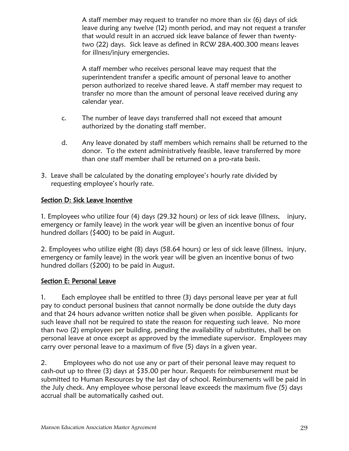A staff member may request to transfer no more than six (6) days of sick leave during any twelve (12) month period, and may not request a transfer that would result in an accrued sick leave balance of fewer than twentytwo (22) days. Sick leave as defined in RCW 28A.400.300 means leaves for illness/injury emergencies.

A staff member who receives personal leave may request that the superintendent transfer a specific amount of personal leave to another person authorized to receive shared leave. A staff member may request to transfer no more than the amount of personal leave received during any calendar year.

- c. The number of leave days transferred shall not exceed that amount authorized by the donating staff member.
- d. Any leave donated by staff members which remains shall be returned to the donor. To the extent administratively feasible, leave transferred by more than one staff member shall be returned on a pro-rata basis.
- 3. Leave shall be calculated by the donating employee's hourly rate divided by requesting employee's hourly rate.

# Section D: Sick Leave Incentive

1. Employees who utilize four (4) days (29.32 hours) or less of sick leave (illness, injury, emergency or family leave) in the work year will be given an incentive bonus of four hundred dollars (\$400) to be paid in August.

2. Employees who utilize eight (8) days (58.64 hours) or less of sick leave (illness, injury, emergency or family leave) in the work year will be given an incentive bonus of two hundred dollars (\$200) to be paid in August.

# Section E: Personal Leave

1. Each employee shall be entitled to three (3) days personal leave per year at full pay to conduct personal business that cannot normally be done outside the duty days and that 24 hours advance written notice shall be given when possible. Applicants for such leave shall not be required to state the reason for requesting such leave. No more than two (2) employees per building, pending the availability of substitutes, shall be on personal leave at once except as approved by the immediate supervisor. Employees may carry over personal leave to a maximum of five (5) days in a given year.

2. Employees who do not use any or part of their personal leave may request to cash-out up to three (3) days at \$35.00 per hour. Requests for reimbursement must be submitted to Human Resources by the last day of school. Reimbursements will be paid in the July check. Any employee whose personal leave exceeds the maximum five (5) days accrual shall be automatically cashed out.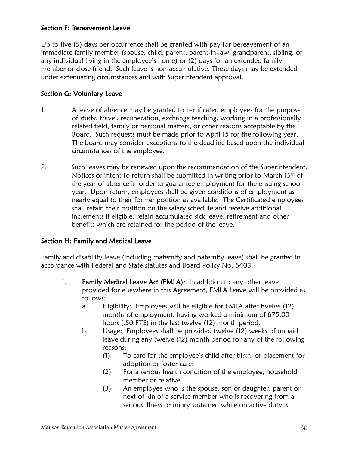#### Section F: Bereavement Leave

Up to five (5) days per occurrence shall be granted with pay for bereavement of an immediate family member (spouse, child, parent, parent-in-law, grandparent, sibling, or any individual living in the employee's home) or (2) days for an extended family member or close friend. Such leave is non-accumulative. These days may be extended under extenuating circumstances and with Superintendent approval.

## Section G: Voluntary Leave

- 1. A leave of absence may be granted to certificated employees for the purpose of study, travel, recuperation, exchange teaching, working in a professionally related field, family or personal matters, or other reasons acceptable by the Board. Such requests must be made prior to April 15 for the following year. The board may consider exceptions to the deadline based upon the individual circumstances of the employee.
- 2. Such leaves may be renewed upon the recommendation of the Superintendent. Notices of intent to return shall be submitted in writing prior to March 15<sup>th</sup> of the year of absence in order to guarantee employment for the ensuing school year. Upon return, employees shall be given conditions of employment as nearly equal to their former position as available. The Certificated employees shall retain their position on the salary schedule and receive additional increments if eligible, retain accumulated sick leave, retirement and other benefits which are retained for the period of the leave.

## Section H: Family and Medical Leave

Family and disability leave (including maternity and paternity leave) shall be granted in accordance with Federal and State statutes and Board Policy No. 5403.

- 1. Family Medical Leave Act (FMLA): In addition to any other leave provided for elsewhere in this Agreement, FMLA Leave will be provided as follows:
	- a. Eligibility: Employees will be eligible for FMLA after twelve (12) months of employment, having worked a minimum of 675.00 hours (.50 FTE) in the last twelve (12) month period.
	- b. Usage: Employees shall be provided twelve (12) weeks of unpaid leave during any twelve (12) month period for any of the following reasons:
		- (1) To care for the employee's child after birth, or placement for adoption or foster care;
		- (2) For a serious health condition of the employee, household member or relative.
		- (3) An employee who is the spouse, son or daughter, parent or next of kin of a service member who is recovering from a serious illness or injury sustained while on active duty is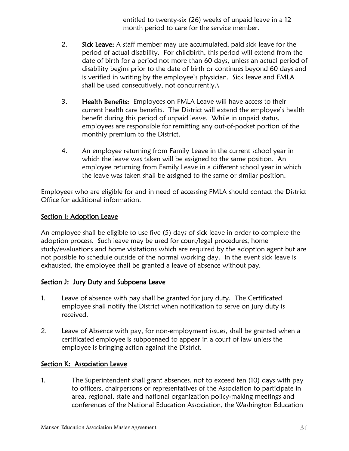entitled to twenty-six (26) weeks of unpaid leave in a 12 month period to care for the service member.

- 2. Sick Leave: A staff member may use accumulated, paid sick leave for the period of actual disability. For childbirth, this period will extend from the date of birth for a period not more than 60 days, unless an actual period of disability begins prior to the date of birth or continues beyond 60 days and is verified in writing by the employee's physician. Sick leave and FMLA shall be used consecutively, not concurrently.\
- 3. Health Benefits: Employees on FMLA Leave will have access to their current health care benefits. The District will extend the employee's health benefit during this period of unpaid leave. While in unpaid status, employees are responsible for remitting any out-of-pocket portion of the monthly premium to the District.
- 4. An employee returning from Family Leave in the current school year in which the leave was taken will be assigned to the same position. An employee returning from Family Leave in a different school year in which the leave was taken shall be assigned to the same or similar position.

Employees who are eligible for and in need of accessing FMLA should contact the District Office for additional information.

## Section I: Adoption Leave

An employee shall be eligible to use five (5) days of sick leave in order to complete the adoption process. Such leave may be used for court/legal procedures, home study/evaluations and home visitations which are required by the adoption agent but are not possible to schedule outside of the normal working day. In the event sick leave is exhausted, the employee shall be granted a leave of absence without pay.

## Section J: Jury Duty and Subpoena Leave

- 1. Leave of absence with pay shall be granted for jury duty. The Certificated employee shall notify the District when notification to serve on jury duty is received.
- 2. Leave of Absence with pay, for non-employment issues, shall be granted when a certificated employee is subpoenaed to appear in a court of law unless the employee is bringing action against the District.

## Section K: Association Leave

1. The Superintendent shall grant absences, not to exceed ten (10) days with pay to officers, chairpersons or representatives of the Association to participate in area, regional, state and national organization policy-making meetings and conferences of the National Education Association, the Washington Education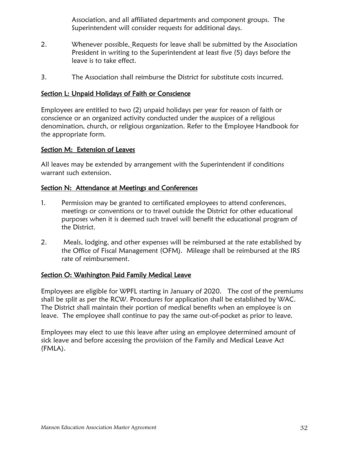Association, and all affiliated departments and component groups. The Superintendent will consider requests for additional days.

- 2. Whenever possible, Requests for leave shall be submitted by the Association President in writing to the Superintendent at least five (5) days before the leave is to take effect.
- 3. The Association shall reimburse the District for substitute costs incurred.

#### Section L: Unpaid Holidays of Faith or Conscience

Employees are entitled to two (2) unpaid holidays per year for reason of faith or conscience or an organized activity conducted under the auspices of a religious denomination, church, or religious organization. Refer to the Employee Handbook for the appropriate form.

#### Section M: Extension of Leaves

All leaves may be extended by arrangement with the Superintendent if conditions warrant such extension.

#### Section N: Attendance at Meetings and Conferences

- 1. Permission may be granted to certificated employees to attend conferences, meetings or conventions or to travel outside the District for other educational purposes when it is deemed such travel will benefit the educational program of the District.
- 2. Meals, lodging, and other expenses will be reimbursed at the rate established by the Office of Fiscal Management (OFM). Mileage shall be reimbursed at the IRS rate of reimbursement.

## Section O: Washington Paid Family Medical Leave

Employees are eligible for WPFL starting in January of 2020. The cost of the premiums shall be split as per the RCW. Procedures for application shall be established by WAC. The District shall maintain their portion of medical benefits when an employee is on leave. The employee shall continue to pay the same out-of-pocket as prior to leave.

Employees may elect to use this leave after using an employee determined amount of sick leave and before accessing the provision of the Family and Medical Leave Act (FMLA).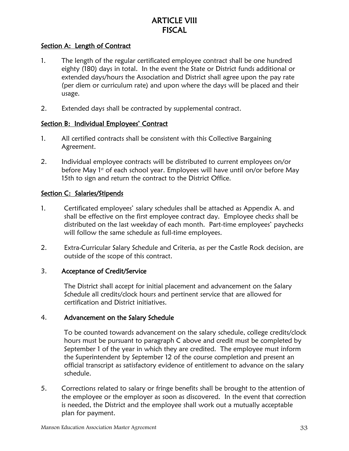# ARTICLE VIII **FISCAL**

# Section A: Length of Contract

- 1. The length of the regular certificated employee contract shall be one hundred eighty (180) days in total. In the event the State or District funds additional or extended days/hours the Association and District shall agree upon the pay rate (per diem or curriculum rate) and upon where the days will be placed and their usage.
- 2. Extended days shall be contracted by supplemental contract.

#### Section B: Individual Employees' Contract

- 1. All certified contracts shall be consistent with this Collective Bargaining Agreement.
- 2. Individual employee contracts will be distributed to current employees on/or before May 1<sup>st</sup> of each school year. Employees will have until on/or before May 15th to sign and return the contract to the District Office.

#### Section C: Salaries/Stipends

- 1. Certificated employees' salary schedules shall be attached as Appendix A. and shall be effective on the first employee contract day. Employee checks shall be distributed on the last weekday of each month. Part-time employees' paychecks will follow the same schedule as full-time employees.
- 2. Extra-Curricular Salary Schedule and Criteria, as per the Castle Rock decision, are outside of the scope of this contract.

#### 3. Acceptance of Credit/Service

The District shall accept for initial placement and advancement on the Salary Schedule all credits/clock hours and pertinent service that are allowed for certification and District initiatives.

#### 4. Advancement on the Salary Schedule

To be counted towards advancement on the salary schedule, college credits/clock hours must be pursuant to paragraph C above and credit must be completed by September 1 of the year in which they are credited. The employee must inform the Superintendent by September 12 of the course completion and present an official transcript as satisfactory evidence of entitlement to advance on the salary schedule.

5. Corrections related to salary or fringe benefits shall be brought to the attention of the employee or the employer as soon as discovered. In the event that correction is needed, the District and the employee shall work out a mutually acceptable plan for payment.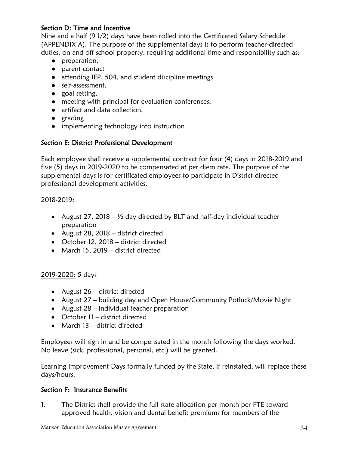## Section D: Time and Incentive

Nine and a half (9 1/2) days have been rolled into the Certificated Salary Schedule (APPENDIX A). The purpose of the supplemental days is to perform teacher-directed duties, on and off school property, requiring additional time and responsibility such as:

- preparation,
- parent contact
- attending IEP, 504, and student discipline meetings
- self-assessment,
- goal setting,
- meeting with principal for evaluation conferences,
- artifact and data collection,
- grading
- implementing technology into instruction

# Section E: District Professional Development

Each employee shall receive a supplemental contract for four (4) days in 2018-2019 and five (5) days in 2019-2020 to be compensated at per diem rate. The purpose of the supplemental days is for certificated employees to participate in District directed professional development activities.

## 2018-2019:

- August 27, 2018  $\frac{1}{2}$  day directed by BLT and half-day individual teacher preparation
- August 28, 2018 district directed
- October 12, 2018 district directed
- March 15, 2019 district directed

## 2019-2020: 5 days

- August 26 district directed
- August 27 building day and Open House/Community Potluck/Movie Night
- August  $28$  individual teacher preparation
- October 11 district directed
- March 13 district directed

Employees will sign in and be compensated in the month following the days worked. No leave (sick, professional, personal, etc.) will be granted.

Learning Improvement Days formally funded by the State, if reinstated, will replace these days/hours.

## Section F: Insurance Benefits

1. The District shall provide the full state allocation per month per FTE toward approved health, vision and dental benefit premiums for members of the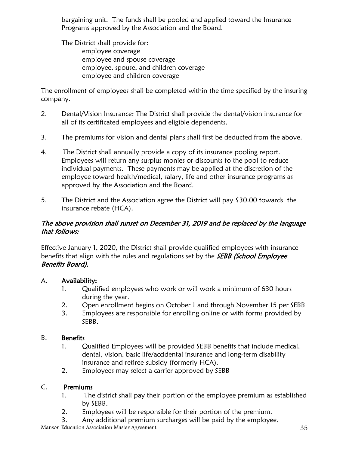bargaining unit. The funds shall be pooled and applied toward the Insurance Programs approved by the Association and the Board.

The District shall provide for: employee coverage employee and spouse coverage employee, spouse, and children coverage employee and children coverage

The enrollment of employees shall be completed within the time specified by the insuring company.

- 2. Dental/Vision Insurance: The District shall provide the dental/vision insurance for all of its certificated employees and eligible dependents.
- 3. The premiums for vision and dental plans shall first be deducted from the above.
- 4. The District shall annually provide a copy of its insurance pooling report. Employees will return any surplus monies or discounts to the pool to reduce individual payments. These payments may be applied at the discretion of the employee toward health/medical, salary, life and other insurance programs as approved by the Association and the Board.
- 5. The District and the Association agree the District will pay \$30.00 towards the insurance rebate (HCA).

# The above provision shall sunset on December 31, 2019 and be replaced by the language that follows:

Effective January 1, 2020, the District shall provide qualified employees with insurance benefits that align with the rules and regulations set by the **SEBB (School Employee** Benefits Board).

# A. Availability:

- 1. Qualified employees who work or will work a minimum of 630 hours during the year.
- 2. Open enrollment begins on October 1 and through November 15 per SEBB
- 3. Employees are responsible for enrolling online or with forms provided by SEBB.

# B. Benefits

- 1. Qualified Employees will be provided SEBB benefits that include medical, dental, vision, basic life/accidental insurance and long-term disability insurance and retiree subsidy (formerly HCA).
- 2. Employees may select a carrier approved by SEBB

## C. Premiums

- 1. The district shall pay their portion of the employee premium as established by SEBB.
- 2. Employees will be responsible for their portion of the premium.
- 3. Any additional premium surcharges will be paid by the employee.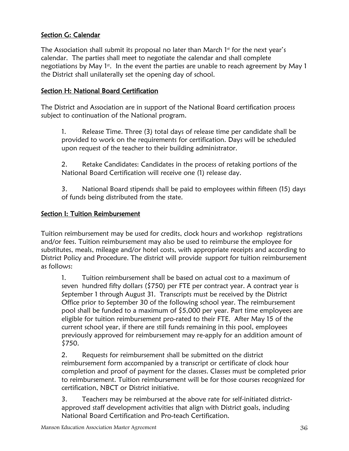# Section G: Calendar

The Association shall submit its proposal no later than March  $1<sup>st</sup>$  for the next year's calendar. The parties shall meet to negotiate the calendar and shall complete negotiations by May 1st. In the event the parties are unable to reach agreement by May 1 the District shall unilaterally set the opening day of school.

# Section H: National Board Certification

The District and Association are in support of the National Board certification process subject to continuation of the National program.

1. Release Time. Three (3) total days of release time per candidate shall be provided to work on the requirements for certification. Days will be scheduled upon request of the teacher to their building administrator.

2. Retake Candidates: Candidates in the process of retaking portions of the National Board Certification will receive one (1) release day.

3. National Board stipends shall be paid to employees within fifteen (15) days of funds being distributed from the state.

# Section I: Tuition Reimbursement

Tuition reimbursement may be used for credits, clock hours and workshop registrations and/or fees. Tuition reimbursement may also be used to reimburse the employee for substitutes, meals, mileage and/or hotel costs, with appropriate receipts and according to District Policy and Procedure. The district will provide support for tuition reimbursement as follows:

1. Tuition reimbursement shall be based on actual cost to a maximum of seven hundred fifty dollars (\$750) per FTE per contract year. A contract year is September 1 through August 31. Transcripts must be received by the District Office prior to September 30 of the following school year. The reimbursement pool shall be funded to a maximum of \$5,000 per year. Part time employees are eligible for tuition reimbursement pro-rated to their FTE. After May 15 of the current school year, if there are still funds remaining in this pool, employees previously approved for reimbursement may re-apply for an addition amount of \$750.

2. Requests for reimbursement shall be submitted on the district reimbursement form accompanied by a transcript or certificate of clock hour completion and proof of payment for the classes. Classes must be completed prior to reimbursement. Tuition reimbursement will be for those courses recognized for certification, NBCT or District initiative.

3. Teachers may be reimbursed at the above rate for self-initiated districtapproved staff development activities that align with District goals, including National Board Certification and Pro-teach Certification.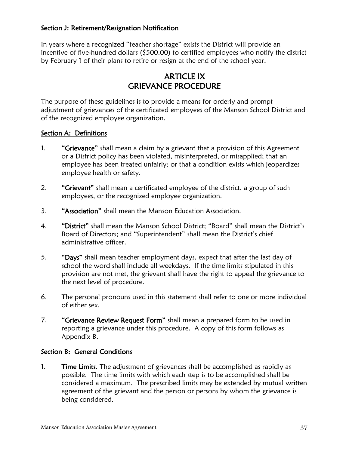## Section J: Retirement/Resignation Notification

In years where a recognized "teacher shortage" exists the District will provide an incentive of five-hundred dollars (\$500.00) to certified employees who notify the district by February 1 of their plans to retire or resign at the end of the school year.

# ARTICLE IX GRIEVANCE PROCEDURE

The purpose of these guidelines is to provide a means for orderly and prompt adjustment of grievances of the certificated employees of the Manson School District and of the recognized employee organization.

#### Section A: Definitions

- 1. "Grievance" shall mean a claim by a grievant that a provision of this Agreement or a District policy has been violated, misinterpreted, or misapplied; that an employee has been treated unfairly; or that a condition exists which jeopardizes employee health or safety.
- 2. "Grievant" shall mean a certificated employee of the district, a group of such employees, or the recognized employee organization.
- 3. "Association" shall mean the Manson Education Association.
- 4. "District" shall mean the Manson School District; "Board" shall mean the District's Board of Directors; and "Superintendent" shall mean the District's chief administrative officer.
- 5. "Days" shall mean teacher employment days, expect that after the last day of school the word shall include all weekdays. If the time limits stipulated in this provision are not met, the grievant shall have the right to appeal the grievance to the next level of procedure.
- 6. The personal pronouns used in this statement shall refer to one or more individual of either sex.
- 7. "Grievance Review Request Form" shall mean a prepared form to be used in reporting a grievance under this procedure. A copy of this form follows as Appendix B.

#### Section B: General Conditions

1. Time Limits. The adjustment of grievances shall be accomplished as rapidly as possible. The time limits with which each step is to be accomplished shall be considered a maximum. The prescribed limits may be extended by mutual written agreement of the grievant and the person or persons by whom the grievance is being considered.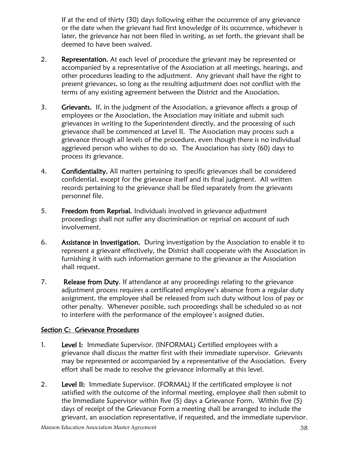If at the end of thirty (30) days following either the occurrence of any grievance or the date when the grievant had first knowledge of its occurrence, whichever is later, the grievance has not been filed in writing, as set forth, the grievant shall be deemed to have been waived.

- 2. Representation. At each level of procedure the grievant may be represented or accompanied by a representative of the Association at all meetings, hearings, and other procedures leading to the adjustment. Any grievant shall have the right to present grievances, so long as the resulting adjustment does not conflict with the terms of any existing agreement between the District and the Association.
- 3. Grievants. If, in the judgment of the Association, a grievance affects a group of employees or the Association, the Association may initiate and submit such grievances in writing to the Superintendent directly, and the processing of such grievance shall be commenced at Level II. The Association may process such a grievance through all levels of the procedure, even though there is no individual aggrieved person who wishes to do so. The Association has sixty (60) days to process its grievance.
- 4. Confidentiality. All matters pertaining to specific grievances shall be considered confidential, except for the grievance itself and its final judgment. All written records pertaining to the grievance shall be filed separately from the grievants personnel file.
- 5. Freedom from Reprisal. Individuals involved in grievance adjustment proceedings shall not suffer any discrimination or reprisal on account of such involvement.
- 6. Assistance in Investigation. During investigation by the Association to enable it to represent a grievant effectively, the District shall cooperate with the Association in furnishing it with such information germane to the grievance as the Association shall request.
- 7. Release from Duty. If attendance at any proceedings relating to the grievance adjustment process requires a certificated employee's absence from a regular duty assignment, the employee shall be released from such duty without loss of pay or other penalty. Whenever possible, such proceedings shall be scheduled so as not to interfere with the performance of the employee's assigned duties.

# Section C: Grievance Procedures

- 1. Level I: Immediate Supervisor. (INFORMAL) Certified employees with a grievance shall discuss the matter first with their immediate supervisor. Grievants may be represented or accompanied by a representative of the Association. Every effort shall be made to resolve the grievance informally at this level.
- 2. Level II: Immediate Supervisor. (FORMAL) If the certificated employee is not satisfied with the outcome of the informal meeting, employee shall then submit to the Immediate Supervisor within five (5) days a Grievance Form. Within five (5) days of receipt of the Grievance Form a meeting shall be arranged to include the grievant, an association representative, if requested, and the immediate supervisor.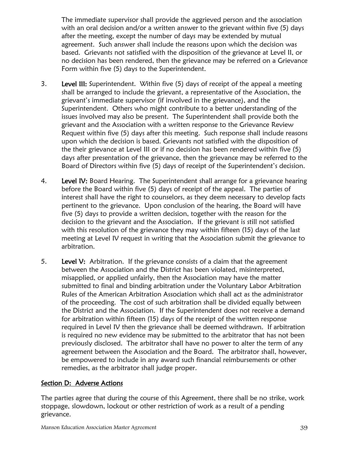The immediate supervisor shall provide the aggrieved person and the association with an oral decision and/or a written answer to the grievant within five (5) days after the meeting, except the number of days may be extended by mutual agreement. Such answer shall include the reasons upon which the decision was based. Grievants not satisfied with the disposition of the grievance at Level II, or no decision has been rendered, then the grievance may be referred on a Grievance Form within five (5) days to the Superintendent.

- 3. Level III: Superintendent. Within five (5) days of receipt of the appeal a meeting shall be arranged to include the grievant, a representative of the Association, the grievant's immediate supervisor (if involved in the grievance), and the Superintendent. Others who might contribute to a better understanding of the issues involved may also be present. The Superintendent shall provide both the grievant and the Association with a written response to the Grievance Review Request within five (5) days after this meeting. Such response shall include reasons upon which the decision is based. Grievants not satisfied with the disposition of the their grievance at Level III or if no decision has been rendered within five (5) days after presentation of the grievance, then the grievance may be referred to the Board of Directors within five (5) days of receipt of the Superintendent's decision.
- 4. Level IV: Board Hearing. The Superintendent shall arrange for a grievance hearing before the Board within five (5) days of receipt of the appeal. The parties of interest shall have the right to counselors, as they deem necessary to develop facts pertinent to the grievance. Upon conclusion of the hearing, the Board will have five (5) days to provide a written decision, together with the reason for the decision to the grievant and the Association. If the grievant is still not satisfied with this resolution of the grievance they may within fifteen (15) days of the last meeting at Level IV request in writing that the Association submit the grievance to arbitration.
- 5. Level V: Arbitration. If the grievance consists of a claim that the agreement between the Association and the District has been violated, misinterpreted, misapplied, or applied unfairly, then the Association may have the matter submitted to final and binding arbitration under the Voluntary Labor Arbitration Rules of the American Arbitration Association which shall act as the administrator of the proceeding. The cost of such arbitration shall be divided equally between the District and the Association. If the Superintendent does not receive a demand for arbitration within fifteen (15) days of the receipt of the written response required in Level IV then the grievance shall be deemed withdrawn. If arbitration is required no new evidence may be submitted to the arbitrator that has not been previously disclosed. The arbitrator shall have no power to alter the term of any agreement between the Association and the Board. The arbitrator shall, however, be empowered to include in any award such financial reimbursements or other remedies, as the arbitrator shall judge proper.

# Section D: Adverse Actions

The parties agree that during the course of this Agreement, there shall be no strike, work stoppage, slowdown, lockout or other restriction of work as a result of a pending grievance.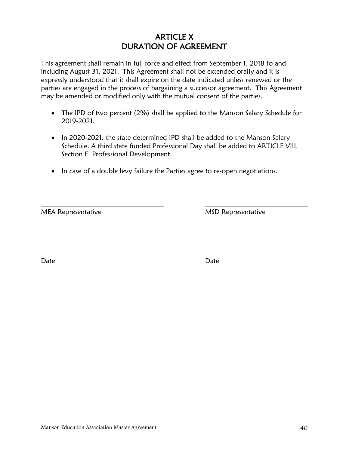# ARTICLE X DURATION OF AGREEMENT

This agreement shall remain in full force and effect from September 1, 2018 to and including August 31, 2021. This Agreement shall not be extended orally and it is expressly understood that it shall expire on the date indicated unless renewed or the parties are engaged in the process of bargaining a successor agreement. This Agreement may be amended or modified only with the mutual consent of the parties.

- The IPD of two percent (2%) shall be applied to the Manson Salary Schedule for 2019-2021.
- In 2020-2021, the state determined IPD shall be added to the Manson Salary Schedule. A third state funded Professional Day shall be added to ARTICLE VIII. Section E. Professional Development.
- In case of a double levy failure the Parties agree to re-open negotiations.

MEA Representative MSD Representative

Date Date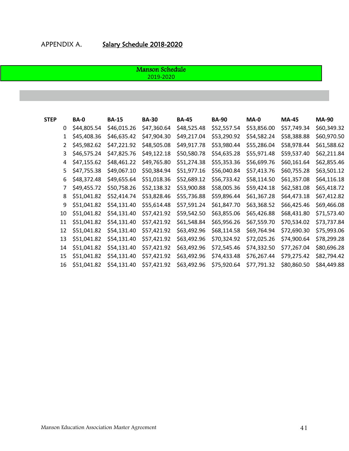#### Manson Schedule 2019-2020

| <b>STEP</b> |                   | BA-0        | <b>BA-15</b> | <b>BA-30</b> | <b>BA-45</b> | <b>BA-90</b> | $MA-0$      | <b>MA-45</b> | <b>MA-90</b> |
|-------------|-------------------|-------------|--------------|--------------|--------------|--------------|-------------|--------------|--------------|
|             | 0                 | \$44,805.54 | \$46,015.26  | \$47,360.64  | \$48,525.48  | \$52,557.54  | \$53,856.00 | \$57,749.34  | \$60,349.32  |
|             | $\mathbf{1}$      | \$45,408.36 | \$46,635.42  | \$47,904.30  | \$49,217.04  | \$53,290.92  | \$54,582.24 | \$58,388.88  | \$60,970.50  |
|             | $\overline{2}$    | \$45,982.62 | \$47,221.92  | \$48,505.08  | \$49,917.78  | \$53,980.44  | \$55,286.04 | \$58,978.44  | \$61,588.62  |
|             | 3                 | \$46,575.24 | \$47,825.76  | \$49,122.18  | \$50,580.78  | \$54,635.28  | \$55,971.48 | \$59,537.40  | \$62,211.84  |
|             | 4                 | \$47,155.62 | \$48,461.22  | \$49,765.80  | \$51,274.38  | \$55,353.36  | \$56,699.76 | \$60,161.64  | \$62,855.46  |
|             | 5                 | \$47,755.38 | \$49,067.10  | \$50,384.94  | \$51,977.16  | \$56,040.84  | \$57,413.76 | \$60,755.28  | \$63,501.12  |
|             | 6                 | \$48,372.48 | \$49,655.64  | \$51,018.36  | \$52,689.12  | \$56,733.42  | \$58,114.50 | \$61,357.08  | \$64,116.18  |
|             | 7                 | \$49,455.72 | \$50,758.26  | \$52,138.32  | \$53,900.88  | \$58,005.36  | \$59,424.18 | \$62,581.08  | \$65,418.72  |
|             | 8                 | \$51,041.82 | \$52,414.74  | \$53,828.46  | \$55,736.88  | \$59,896.44  | \$61,367.28 | \$64,473.18  | \$67,412.82  |
|             | 9                 | \$51,041.82 | \$54,131.40  | \$55,614.48  | \$57,591.24  | \$61,847.70  | \$63,368.52 | \$66,425.46  | \$69,466.08  |
|             | 10                | \$51,041.82 | \$54,131.40  | \$57,421.92  | \$59,542.50  | \$63,855.06  | \$65,426.88 | \$68,431.80  | \$71,573.40  |
|             | 11                | \$51,041.82 | \$54,131.40  | \$57,421.92  | \$61,548.84  | \$65,956.26  | \$67,559.70 | \$70,534.02  | \$73,737.84  |
|             | $12 \overline{ }$ | \$51,041.82 | \$54,131.40  | \$57,421.92  | \$63,492.96  | \$68,114.58  | \$69,764.94 | \$72,690.30  | \$75,993.06  |
|             | 13                | \$51,041.82 | \$54,131.40  | \$57,421.92  | \$63,492.96  | \$70,324.92  | \$72,025.26 | \$74,900.64  | \$78,299.28  |
|             | 14                | \$51,041.82 | \$54,131.40  | \$57,421.92  | \$63,492.96  | \$72,545.46  | \$74,332.50 | \$77,267.04  | \$80,696.28  |
|             | 15                | \$51,041.82 | \$54,131.40  | \$57,421.92  | \$63,492.96  | \$74,433.48  | \$76,267.44 | \$79,275.42  | \$82,794.42  |
|             | 16                | \$51,041.82 | \$54,131.40  | \$57,421.92  | \$63,492.96  | \$75,920.64  | \$77,791.32 | \$80,860.50  | \$84,449.88  |
|             |                   |             |              |              |              |              |             |              |              |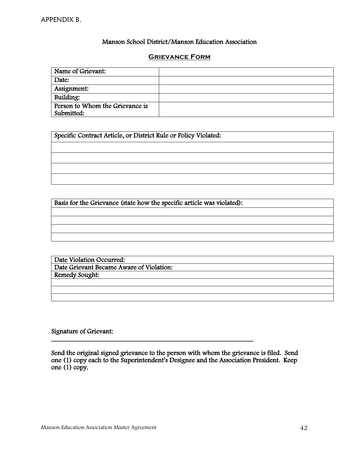#### Manson School District/Manson Education Association

#### **Grievance Form**

| Name of Grievant:               |  |
|---------------------------------|--|
| Date:                           |  |
| Assignment:                     |  |
| Building:                       |  |
| Person to Whom the Grievance is |  |
| Submitted:                      |  |

Specific Contract Article, or District Rule or Policy Violated:

 Basis for the Grievance (state how the specific article was violated):

Date Violation Occurred: Date Grievant Became Aware of Violation: Remedy Sought:

Signature of Grievant:

Send the original signed grievance to the person with whom the grievance is filed. Send one (1) copy each to the Superintendent's Designee and the Association President. Keep one (1) copy.

\_\_\_\_\_\_\_\_\_\_\_\_\_\_\_\_\_\_\_\_\_\_\_\_\_\_\_\_\_\_\_\_\_\_\_\_\_\_\_\_\_\_\_\_\_\_\_\_\_\_\_\_\_\_\_\_\_\_\_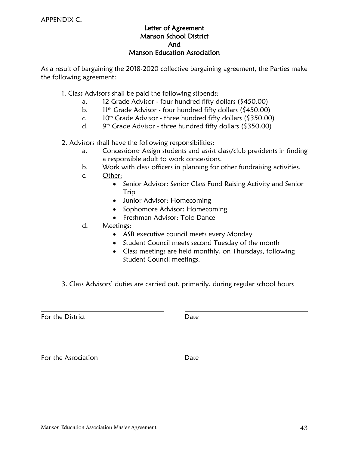#### Letter of Agreement Manson School District And Manson Education Association

As a result of bargaining the 2018-2020 collective bargaining agreement, the Parties make the following agreement:

1. Class Advisors shall be paid the following stipends:

- a. 12 Grade Advisor four hundred fifty dollars (\$450.00)
- b.  $11^{th}$  Grade Advisor four hundred fifty dollars (\$450.00)
- c.  $10^{th}$  Grade Advisor three hundred fifty dollars (\$350.00)
- $d_{\cdot}$  $9<sup>th</sup>$  Grade Advisor - three hundred fifty dollars (\$350.00)

2. Advisors shall have the following responsibilities:

- a. Concessions: Assign students and assist class/club presidents in finding a responsible adult to work concessions.
- b. Work with class officers in planning for other fundraising activities.
- c. Other:
	- Senior Advisor: Senior Class Fund Raising Activity and Senior Trip
	- Junior Advisor: Homecoming
	- Sophomore Advisor: Homecoming
	- Freshman Advisor: Tolo Dance
- d. Meetings:
	- ASB executive council meets every Monday
	- Student Council meets second Tuesday of the month
	- Class meetings are held monthly, on Thursdays, following Student Council meetings.
- 3. Class Advisors' duties are carried out, primarily, during regular school hours

For the District **Date** 

For the Association **Date**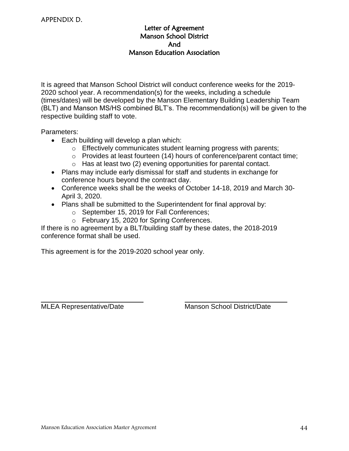#### Letter of Agreement Manson School District And Manson Education Association

It is agreed that Manson School District will conduct conference weeks for the 2019- 2020 school year. A recommendation(s) for the weeks, including a schedule (times/dates) will be developed by the Manson Elementary Building Leadership Team (BLT) and Manson MS/HS combined BLT's. The recommendation(s) will be given to the respective building staff to vote.

Parameters:

- Each building will develop a plan which:
	- o Effectively communicates student learning progress with parents;
	- o Provides at least fourteen (14) hours of conference/parent contact time;
	- o Has at least two (2) evening opportunities for parental contact.
- Plans may include early dismissal for staff and students in exchange for conference hours beyond the contract day.
- Conference weeks shall be the weeks of October 14-18, 2019 and March 30- April 3, 2020.
- Plans shall be submitted to the Superintendent for final approval by:
	- o September 15, 2019 for Fall Conferences;
	- o February 15, 2020 for Spring Conferences.

If there is no agreement by a BLT/building staff by these dates, the 2018-2019 conference format shall be used.

This agreement is for the 2019-2020 school year only.

MLEA Representative/Date Manson School District/Date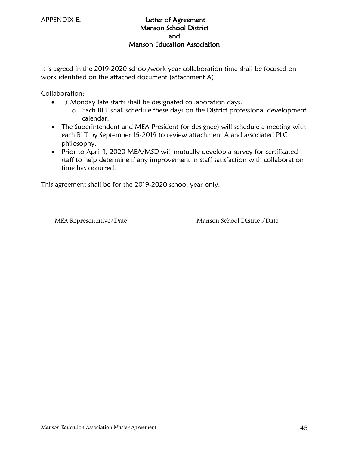#### APPENDIX E. Letter of Agreement Manson School District and Manson Education Association

It is agreed in the 2019-2020 school/work year collaboration time shall be focused on work identified on the attached document (attachment A).

Collaboration:

- 13 Monday late starts shall be designated collaboration days.
	- o Each BLT shall schedule these days on the District professional development calendar.
- The Superintendent and MEA President (or designee) will schedule a meeting with each BLT by September 15.2019 to review attachment A and associated PLC philosophy.
- Prior to April 1, 2020 MEA/MSD will mutually develop a survey for certificated staff to help determine if any improvement in staff satisfaction with collaboration time has occurred.

This agreement shall be for the 2019-2020 school year only.

 $\overline{\phantom{a}}$  , and the contract of the contract of the contract of the contract of the contract of the contract of the contract of the contract of the contract of the contract of the contract of the contract of the contrac MEA Representative/Date Manson School District/Date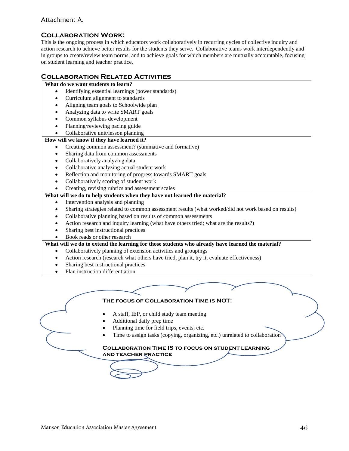#### Attachment A.

#### **Collaboration Work:**

This is the ongoing process in which educators work collaboratively in recurring cycles of collective inquiry and action research to achieve better results for the students they serve. Collaborative teams work interdependently and in groups to create/review team norms, and to achieve goals for which members are mutually accountable, focusing on student learning and teacher practice.

#### **Collaboration Related Activities**

#### **What do we want students to learn?**

- Identifying essential learnings (power standards)
- Curriculum alignment to standards
- Aligning team goals to Schoolwide plan
- Analyzing data to write SMART goals
- Common syllabus development
- Planning/reviewing pacing guide
- Collaborative unit/lesson planning

#### **How will we know if they have learned it?**

- Creating common assessment? (summative and formative)
- Sharing data from common assessments
- Collaboratively analyzing data
- Collaborative analyzing actual student work
- Reflection and monitoring of progress towards SMART goals
- Collaboratively scoring of student work
- Creating, revising rubrics and assessment scales
- **What will we do to help students when they have not learned the material?**
	- Intervention analysis and planning
	- Sharing strategies related to common assessment results (what worked/did not work based on results)
	- Collaborative planning based on results of common assessments
	- Action research and inquiry learning (what have others tried; what are the results?)
	- Sharing best instructional practices
	- Book reads or other research

#### **What will we do to extend the learning for those students who already have learned the material?**

- Collaboratively planning of extension activities and groupings
- Action research (research what others have tried, plan it, try it, evaluate effectiveness)
- Sharing best instructional practices
- Plan instruction differentiation

#### **The focus of Collaboration Time is NOT:**

- A staff, IEP, or child study team meeting
- Additional daily prep time
- Planning time for field trips, events, etc.
- Time to assign tasks (copying, organizing, etc.) unrelated to collaboration

#### **Collaboration Time IS to focus on student learning and teacher practice**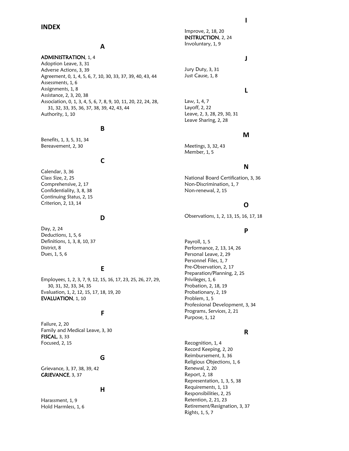#### **INDEX**

#### **A**

ADMINISTRATION, 1, 4 Adoption Leave, 3, 31 Adverse Actions, 3, 39 Agreement, 0, 1, 4, 5, 6, 7, 10, 30, 33, 37, 39, 40, 43, 44 Assessments, 1, 6 Assignments, 1, 8 Assistance, 2, 3, 20, 38 Association, 0, 1, 3, 4, 5, 6, 7, 8, 9, 10, 11, 20, 22, 24, 28, 31, 32, 33, 35, 36, 37, 38, 39, 42, 43, 44 Authority, 1, 10

#### **B**

Benefits, 1, 3, 5, 31, 34 Bereavement, 2, 30

#### **C**

Calendar, 3, 36 Class Size, 2, 25 Comprehensive, 2, 17 Confidentiality, 3, 8, 38 Continuing Status, 2, 15 Criterion, 2, 13, 14

#### **D**

Day, 2, 24 Deductions, 1, 5, 6 Definitions, 1, 3, 8, 10, 37 District, 8 Dues, 1, 5, 6

#### **E**

Employees, 1, 2, 3, 7, 9, 12, 15, 16, 17, 23, 25, 26, 27, 29, 30, 31, 32, 33, 34, 35 Evaluation, 1, 2, 12, 15, 17, 18, 19, 20 EVALUATION, 1, 10

#### **F**

Failure, 2, 20 Family and Medical Leave, 3, 30 FISCAL, 3, 33 Focused, 2, 15

#### **G**

Grievance, 3, 37, 38, 39, 42 GRIEVANCE, 3, 37

#### **H**

Harassment, 1, 9 Hold Harmless, 1, 6 Improve, 2, 18, 20 INSTRUCTION, 2, 24 Involuntary, 1, 9

#### **J**

Jury Duty, 3, 31 Just Cause, 1, 8

#### **L**

Law, 1, 4, 7 Layoff, 2, 22 Leave, 2, 3, 28, 29, 30, 31 Leave Sharing, 2, 28

#### **M**

Meetings, 3, 32, 43 Member, 1, 5

#### **N**

National Board Certification, 3, 36 Non-Discrimination, 1, 7 Non-renewal, 2, 15

#### **O**

Observations, 1, 2, 13, 15, 16, 17, 18

#### **P**

Payroll, 1, 5 Performance, 2, 13, 14, 26 Personal Leave, 2, 29 Personnel Files, 1, 7 Pre-Observation, 2, 17 Preparation/Planning, 2, 25 Privileges, 1, 6 Probation, 2, 18, 19 Probationary, 2, 19 Problem, 1, 5 Professional Development, 3, 34 Programs, Services, 2, 21 Purpose, 1, 12

#### **R**

Recognition, 1, 4 Record Keeping, 2, 20 Reimbursement, 3, 36 Religious Objections, 1, 6 Renewal, 2, 20 Report, 2, 18 Representation, 1, 3, 5, 38 Requirements, 1, 13 Responsibilities, 2, 25 Retention, 2, 21, 23 Retirement/Resignation, 3, 37 Rights, 1, 5, 7

#### **I**